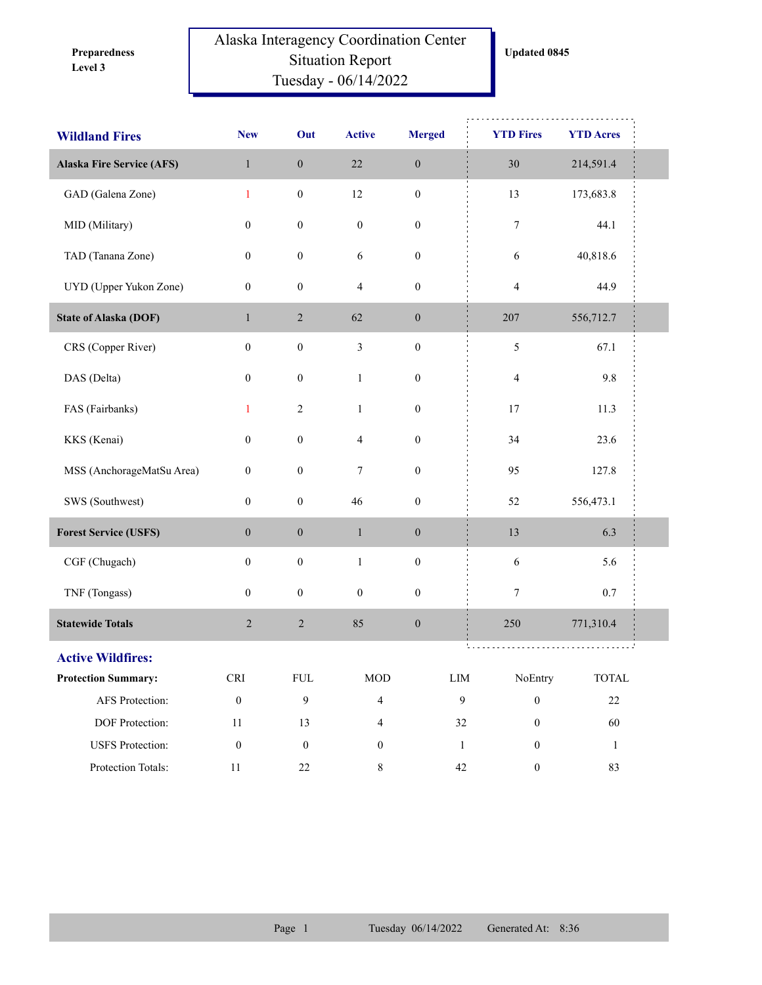**Level 3 Preparedness** 

## Alaska Interagency Coordination Center Situation Report Tuesday - 06/14/2022

| <b>Wildland Fires</b>            | <b>New</b>       | Out              | <b>Active</b>            | <b>Merged</b>    | <b>YTD Fires</b> | <b>YTD Acres</b>       |  |
|----------------------------------|------------------|------------------|--------------------------|------------------|------------------|------------------------|--|
| <b>Alaska Fire Service (AFS)</b> | $\mathbf{1}$     | $\boldsymbol{0}$ | $22\,$                   | $\boldsymbol{0}$ | 30               | 214,591.4              |  |
| GAD (Galena Zone)                | $\mathbf{1}$     | $\boldsymbol{0}$ | $12\,$                   | $\boldsymbol{0}$ | 13               | 173,683.8              |  |
| MID (Military)                   | $\boldsymbol{0}$ | $\boldsymbol{0}$ | $\boldsymbol{0}$         | $\boldsymbol{0}$ | $\boldsymbol{7}$ | 44.1                   |  |
| TAD (Tanana Zone)                | $\boldsymbol{0}$ | $\boldsymbol{0}$ | 6                        | $\boldsymbol{0}$ | 6                | 40,818.6               |  |
| UYD (Upper Yukon Zone)           | $\mathbf{0}$     | $\boldsymbol{0}$ | $\overline{4}$           | $\boldsymbol{0}$ | $\overline{4}$   | 44.9                   |  |
| <b>State of Alaska (DOF)</b>     | $\mathbf{1}$     | $\overline{2}$   | 62                       | $\boldsymbol{0}$ | 207              | 556,712.7              |  |
| CRS (Copper River)               | $\boldsymbol{0}$ | $\boldsymbol{0}$ | $\mathfrak{Z}$           | $\boldsymbol{0}$ | $\sqrt{5}$       | 67.1                   |  |
| DAS (Delta)                      | $\boldsymbol{0}$ | $\boldsymbol{0}$ | $\mathbf{1}$             | $\boldsymbol{0}$ | 4                | 9.8                    |  |
| FAS (Fairbanks)                  | $\mathbf{1}$     | $\sqrt{2}$       | $\mathbf{1}$             | $\boldsymbol{0}$ | 17               | 11.3                   |  |
| KKS (Kenai)                      | $\boldsymbol{0}$ | $\boldsymbol{0}$ | $\overline{\mathcal{A}}$ | $\boldsymbol{0}$ | 34               | 23.6                   |  |
| MSS (AnchorageMatSu Area)        | $\boldsymbol{0}$ | $\boldsymbol{0}$ | 7                        | $\boldsymbol{0}$ | 95               | 127.8                  |  |
| SWS (Southwest)                  | $\boldsymbol{0}$ | $\boldsymbol{0}$ | 46                       | $\boldsymbol{0}$ | 52               | 556,473.1              |  |
| <b>Forest Service (USFS)</b>     | $\boldsymbol{0}$ | $\boldsymbol{0}$ | $\mathbf{1}$             | $\boldsymbol{0}$ | 13               | 6.3                    |  |
| CGF (Chugach)                    | $\boldsymbol{0}$ | $\boldsymbol{0}$ | $\,1\,$                  | $\boldsymbol{0}$ | 6                | 5.6                    |  |
| TNF (Tongass)                    | $\boldsymbol{0}$ | $\boldsymbol{0}$ | $\boldsymbol{0}$         | $\boldsymbol{0}$ | 7                | 0.7                    |  |
| <b>Statewide Totals</b>          | $\sqrt{2}$       | $\sqrt{2}$       | 85                       | $\boldsymbol{0}$ | 250              | 771,310.4              |  |
| <b>Active Wildfires:</b>         |                  |                  |                          |                  |                  |                        |  |
| <b>Protection Summary:</b>       | CRI              | ${\rm FUL}$      | $\rm MOD$                | ${\rm LIM}$      | NoEntry          | $\operatorname{TOTAL}$ |  |
| AFS Protection:                  | $\boldsymbol{0}$ | 9                | $\overline{4}$           | $\mathbf{9}$     | $\boldsymbol{0}$ | $22\,$                 |  |
| DOF Protection:                  | $11\,$           | 13               | $\overline{4}$           | $32\,$           | $\boldsymbol{0}$ | 60                     |  |
| <b>USFS</b> Protection:          | $\boldsymbol{0}$ | $\boldsymbol{0}$ | $\boldsymbol{0}$         | $1\,$            | $\boldsymbol{0}$ | $\mathbf{1}$           |  |
| Protection Totals:               | $11\,$           | $22\,$           | $\,8\,$                  | 42               | $\boldsymbol{0}$ | 83                     |  |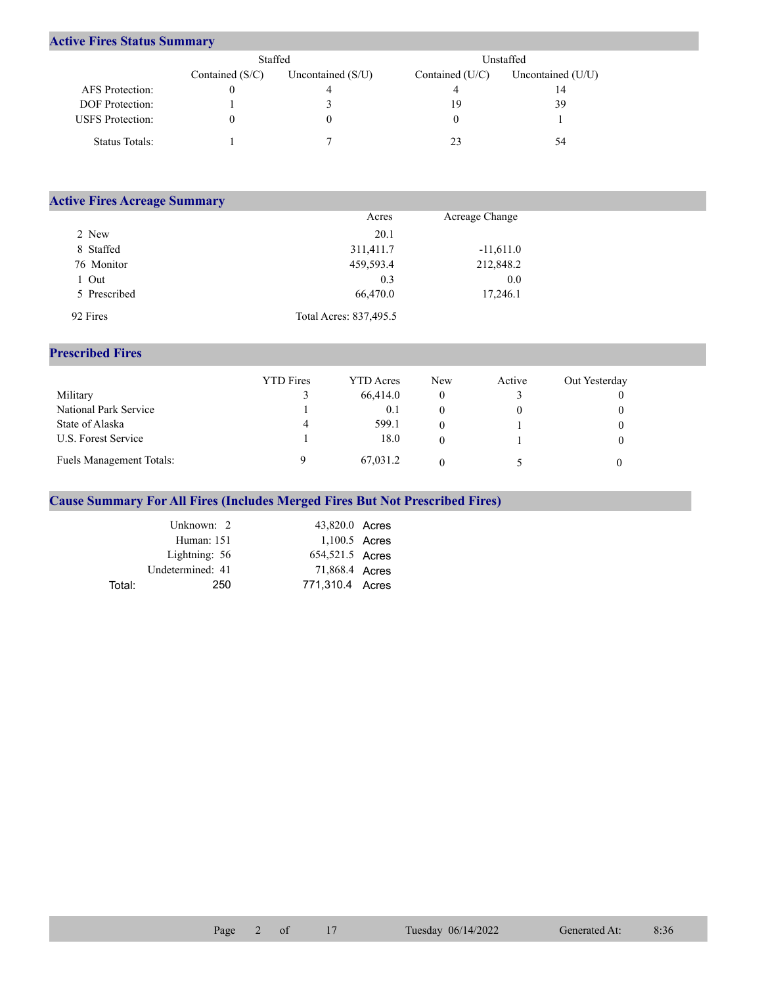## **Active Fires Status Summary**

|                         | Staffed           |                     | Unstaffed       |                     |  |  |
|-------------------------|-------------------|---------------------|-----------------|---------------------|--|--|
|                         | Contained $(S/C)$ | Uncontained $(S/U)$ | Contained (U/C) | Uncontained $(U/U)$ |  |  |
| AFS Protection:         |                   |                     |                 | 14                  |  |  |
| DOF Protection:         |                   |                     | 19              | 39                  |  |  |
| <b>USFS</b> Protection: |                   | 0                   |                 |                     |  |  |
| Status Totals:          |                   |                     |                 | 54                  |  |  |

| <b>Active Fires Acreage Summary</b> |                        |                |  |  |  |  |  |
|-------------------------------------|------------------------|----------------|--|--|--|--|--|
|                                     | Acres                  | Acreage Change |  |  |  |  |  |
| 2 New                               | 20.1                   |                |  |  |  |  |  |
| 8 Staffed                           | 311,411.7              | $-11,611.0$    |  |  |  |  |  |
| 76 Monitor                          | 459,593.4              | 212,848.2      |  |  |  |  |  |
| 1 Out                               | 0.3                    | 0.0            |  |  |  |  |  |
| 5 Prescribed                        | 66,470.0               | 17,246.1       |  |  |  |  |  |
| 92 Fires                            | Total Acres: 837,495.5 |                |  |  |  |  |  |

## **Prescribed Fires**

|                                 | <b>YTD</b> Fires | <b>YTD</b> Acres | <b>New</b> | Active | Out Yesterday |
|---------------------------------|------------------|------------------|------------|--------|---------------|
| Military                        |                  | 66,414.0         |            |        |               |
| National Park Service           |                  | 0.1              |            |        |               |
| State of Alaska                 | 4                | 599.1            |            |        |               |
| U.S. Forest Service             |                  | 18.0             |            |        |               |
| <b>Fuels Management Totals:</b> |                  | 67,031.2         |            |        |               |

## **Cause Summary For All Fires (Includes Merged Fires But Not Prescribed Fires)**

|        | Unknown: 2       | 43,820.0 Acres  |  |
|--------|------------------|-----------------|--|
|        | Human: 151       | 1,100.5 Acres   |  |
|        | Lightning: 56    | 654,521.5 Acres |  |
|        | Undetermined: 41 | 71,868.4 Acres  |  |
| Total: | 250              | 771.310.4 Acres |  |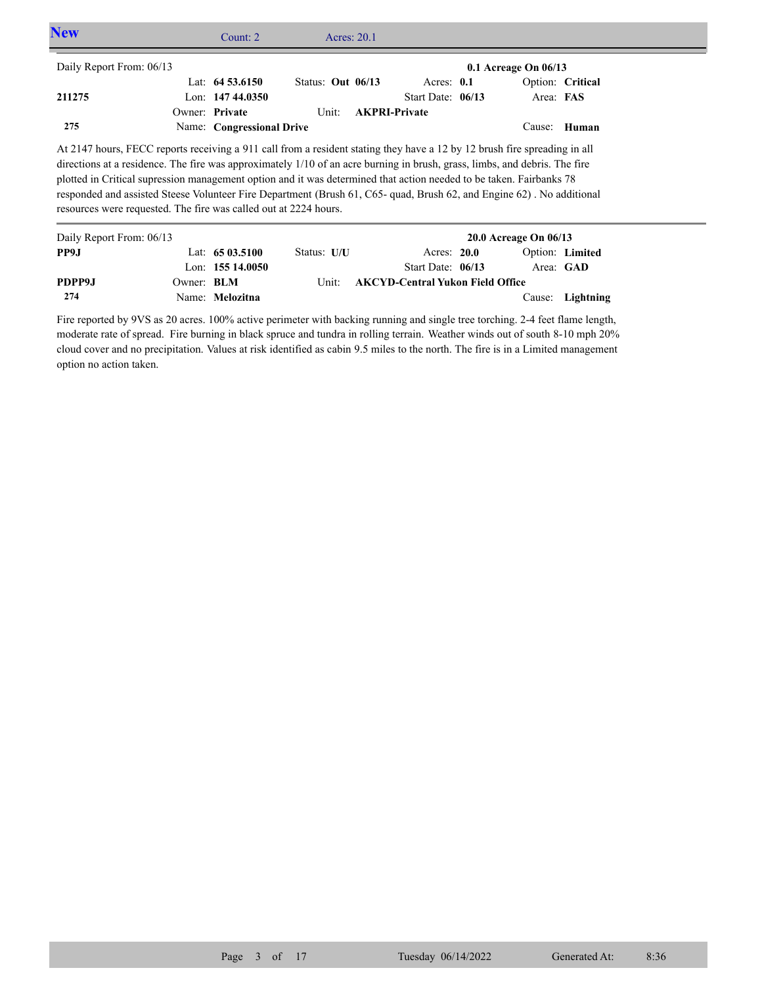| <b>New</b>                                                     |                                                                  | Count: $2 \overline{ }$   | Acres: 20.1                                                                                                                                                                                                                                                                                                                                                                                                                                                                                             |                      |                          |  |
|----------------------------------------------------------------|------------------------------------------------------------------|---------------------------|---------------------------------------------------------------------------------------------------------------------------------------------------------------------------------------------------------------------------------------------------------------------------------------------------------------------------------------------------------------------------------------------------------------------------------------------------------------------------------------------------------|----------------------|--------------------------|--|
| Daily Report From: 06/13                                       |                                                                  |                           |                                                                                                                                                                                                                                                                                                                                                                                                                                                                                                         |                      | $0.1$ Acreage On $06/13$ |  |
|                                                                |                                                                  | Lat: $64\,53.6150$        | Status: Out 06/13                                                                                                                                                                                                                                                                                                                                                                                                                                                                                       | Acres: $0.1$         | Option: Critical         |  |
| 211275                                                         |                                                                  | Lon: $14744.0350$         |                                                                                                                                                                                                                                                                                                                                                                                                                                                                                                         | Start Date: 06/13    | Area: FAS                |  |
|                                                                |                                                                  | Owner: Private            | Unit:                                                                                                                                                                                                                                                                                                                                                                                                                                                                                                   | <b>AKPRI-Private</b> |                          |  |
| 275                                                            |                                                                  | Name: Congressional Drive |                                                                                                                                                                                                                                                                                                                                                                                                                                                                                                         |                      | Cause: Human             |  |
|                                                                | resources were requested. The fire was called out at 2224 hours. |                           | At 2147 hours, FECC reports receiving a 911 call from a resident stating they have a 12 by 12 brush fire spreading in all<br>directions at a residence. The fire was approximately 1/10 of an acre burning in brush, grass, limbs, and debris. The fire<br>plotted in Critical supression management option and it was determined that action needed to be taken. Fairbanks 78<br>responded and assisted Steese Volunteer Fire Department (Brush 61, C65- quad, Brush 62, and Engine 62). No additional |                      |                          |  |
| $D_{\alpha}$ ily $D_{\alpha}$ nort $E_{\alpha}$ $\ldots$ 06/12 |                                                                  |                           |                                                                                                                                                                                                                                                                                                                                                                                                                                                                                                         |                      | $20.0$ Agreed On $06/12$ |  |

| Daily Report From: 06/13 |                   |                   |             |                                         | $20.0$ Acreage On $06/13$ |                  |
|--------------------------|-------------------|-------------------|-------------|-----------------------------------------|---------------------------|------------------|
| PP9.I                    |                   | Lat: $6503.5100$  | Status: U/U | Acres: 20.0                             |                           | Option: Limited  |
|                          |                   | Lon: $15514.0050$ |             | Start Date: 06/13                       |                           | Area: GAD        |
| PDPP9J                   | Owner: <b>BLM</b> |                   | Unit:       | <b>AKCYD-Central Yukon Field Office</b> |                           |                  |
| 274                      |                   | Name: Melozitna   |             |                                         |                           | Cause: Lightning |

Fire reported by 9VS as 20 acres. 100% active perimeter with backing running and single tree torching. 2-4 feet flame length, moderate rate of spread. Fire burning in black spruce and tundra in rolling terrain. Weather winds out of south 8-10 mph 20% cloud cover and no precipitation. Values at risk identified as cabin 9.5 miles to the north. The fire is in a Limited management option no action taken.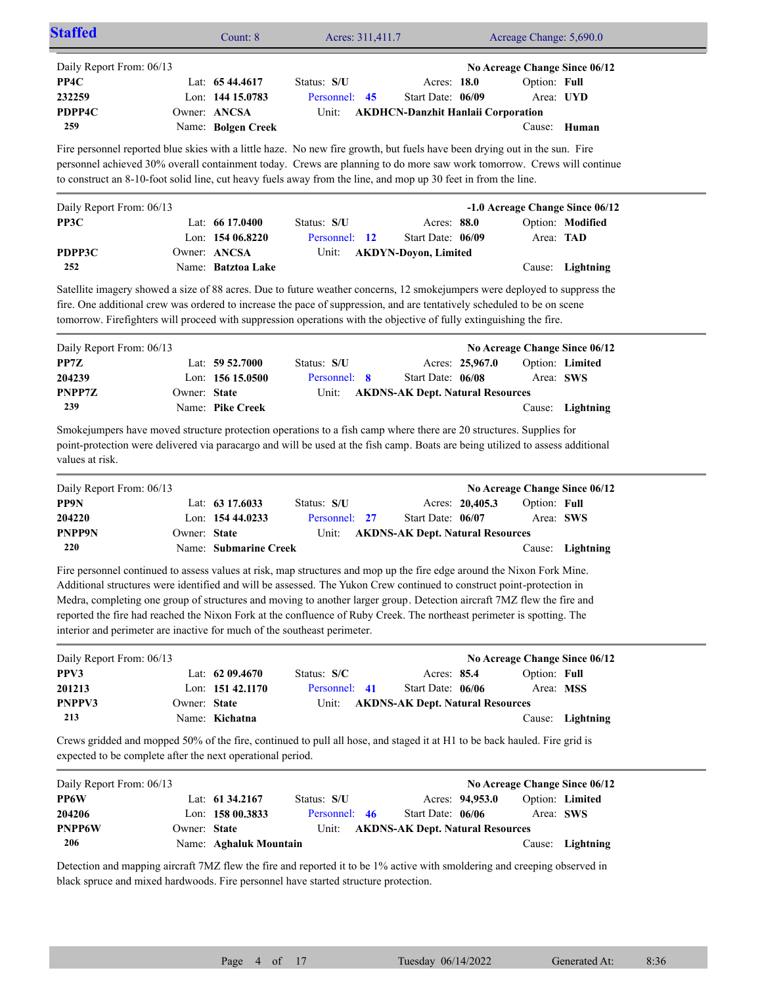| Staffed                                                                                                                                                                                                                                                                                                                                                                                                                                                                                                                                                                         |                | Count: 8              | Acres: 311,411.7 |                                           |                 | Acreage Change: 5,690.0 |                                 |
|---------------------------------------------------------------------------------------------------------------------------------------------------------------------------------------------------------------------------------------------------------------------------------------------------------------------------------------------------------------------------------------------------------------------------------------------------------------------------------------------------------------------------------------------------------------------------------|----------------|-----------------------|------------------|-------------------------------------------|-----------------|-------------------------|---------------------------------|
| Daily Report From: 06/13<br>PP4C                                                                                                                                                                                                                                                                                                                                                                                                                                                                                                                                                |                | Lat: 65 44.4617       | Status: S/U      | Acres: 18.0                               |                 | Option: Full            | No Acreage Change Since 06/12   |
| 232259                                                                                                                                                                                                                                                                                                                                                                                                                                                                                                                                                                          |                | Lon: 144 15.0783      | Personnel:<br>45 | Start Date: 06/09                         |                 | Area: UYD               |                                 |
| PDPP4C                                                                                                                                                                                                                                                                                                                                                                                                                                                                                                                                                                          | Owner: ANCSA   |                       | Unit:            | <b>AKDHCN-Danzhit Hanlaii Corporation</b> |                 |                         |                                 |
| 259                                                                                                                                                                                                                                                                                                                                                                                                                                                                                                                                                                             |                | Name: Bolgen Creek    |                  |                                           |                 |                         | Cause: Human                    |
| Fire personnel reported blue skies with a little haze. No new fire growth, but fuels have been drying out in the sun. Fire<br>personnel achieved 30% overall containment today. Crews are planning to do more saw work tomorrow. Crews will continue<br>to construct an 8-10-foot solid line, cut heavy fuels away from the line, and mop up 30 feet in from the line.                                                                                                                                                                                                          |                |                       |                  |                                           |                 |                         |                                 |
| Daily Report From: 06/13                                                                                                                                                                                                                                                                                                                                                                                                                                                                                                                                                        |                |                       |                  |                                           |                 |                         | -1.0 Acreage Change Since 06/12 |
| PP3C                                                                                                                                                                                                                                                                                                                                                                                                                                                                                                                                                                            |                | Lat: $6617.0400$      | Status: S/U      | Acres: 88.0                               |                 |                         | Option: Modified                |
|                                                                                                                                                                                                                                                                                                                                                                                                                                                                                                                                                                                 |                | Lon: $15406.8220$     | Personnel: 12    | Start Date: 06/09                         |                 | Area: TAD               |                                 |
| PDPP3C                                                                                                                                                                                                                                                                                                                                                                                                                                                                                                                                                                          | Owner: ANCSA   |                       | Unit:            | <b>AKDYN-Doyon, Limited</b>               |                 |                         |                                 |
| 252                                                                                                                                                                                                                                                                                                                                                                                                                                                                                                                                                                             |                | Name: Batztoa Lake    |                  |                                           |                 | Cause:                  | Lightning                       |
| Satellite imagery showed a size of 88 acres. Due to future weather concerns, 12 smokejumpers were deployed to suppress the<br>fire. One additional crew was ordered to increase the pace of suppression, and are tentatively scheduled to be on scene<br>tomorrow. Firefighters will proceed with suppression operations with the objective of fully extinguishing the fire.                                                                                                                                                                                                    |                |                       |                  |                                           |                 |                         |                                 |
| Daily Report From: 06/13                                                                                                                                                                                                                                                                                                                                                                                                                                                                                                                                                        |                |                       |                  |                                           |                 |                         | No Acreage Change Since 06/12   |
| PP7Z                                                                                                                                                                                                                                                                                                                                                                                                                                                                                                                                                                            |                | Lat: $59\,52.7000$    | Status: S/U      |                                           | Acres: 25,967.0 |                         | Option: Limited                 |
| 204239                                                                                                                                                                                                                                                                                                                                                                                                                                                                                                                                                                          |                | Lon: 156 15.0500      | Personnel: 8     | Start Date: 06/08                         |                 | Area: SWS               |                                 |
| PNPP7Z                                                                                                                                                                                                                                                                                                                                                                                                                                                                                                                                                                          | Owner: State   |                       | Unit:            | <b>AKDNS-AK Dept. Natural Resources</b>   |                 |                         |                                 |
| 239                                                                                                                                                                                                                                                                                                                                                                                                                                                                                                                                                                             |                | Name: Pike Creek      |                  |                                           |                 |                         | Cause: Lightning                |
| Smokejumpers have moved structure protection operations to a fish camp where there are 20 structures. Supplies for<br>point-protection were delivered via paracargo and will be used at the fish camp. Boats are being utilized to assess additional<br>values at risk.                                                                                                                                                                                                                                                                                                         |                |                       |                  |                                           |                 |                         |                                 |
| Daily Report From: 06/13                                                                                                                                                                                                                                                                                                                                                                                                                                                                                                                                                        |                |                       |                  |                                           |                 |                         | No Acreage Change Since 06/12   |
| PP9N                                                                                                                                                                                                                                                                                                                                                                                                                                                                                                                                                                            |                | Lat: $63\,17.6033$    | Status: S/U      |                                           | Acres: 20,405.3 | Option: Full            |                                 |
| 204220                                                                                                                                                                                                                                                                                                                                                                                                                                                                                                                                                                          |                | Lon: 154 44.0233      | Personnel:<br>27 | Start Date: 06/07                         |                 | Area: SWS               |                                 |
| <b>PNPP9N</b>                                                                                                                                                                                                                                                                                                                                                                                                                                                                                                                                                                   | Owner: State   |                       | Unit:            | <b>AKDNS-AK Dept. Natural Resources</b>   |                 |                         |                                 |
| 220                                                                                                                                                                                                                                                                                                                                                                                                                                                                                                                                                                             |                | Name: Submarine Creek |                  |                                           |                 |                         | Cause: Lightning                |
| Fire personnel continued to assess values at risk, map structures and mop up the fire edge around the Nixon Fork Mine.<br>Additional structures were identified and will be assessed. The Yukon Crew continued to construct point-protection in<br>Medra, completing one group of structures and moving to another larger group. Detection aircraft 7MZ flew the fire and<br>reported the fire had reached the Nixon Fork at the confluence of Ruby Creek. The northeast perimeter is spotting. The<br>interior and perimeter are inactive for much of the southeast perimeter. |                |                       |                  |                                           |                 |                         |                                 |
| Daily Report From: 06/13                                                                                                                                                                                                                                                                                                                                                                                                                                                                                                                                                        |                |                       |                  |                                           |                 |                         | No Acreage Change Since 06/12   |
| PPV3                                                                                                                                                                                                                                                                                                                                                                                                                                                                                                                                                                            |                | Lat: 62 09.4670       | Status: S/C      | Acres: 85.4                               |                 | Option: Full            |                                 |
| 201213                                                                                                                                                                                                                                                                                                                                                                                                                                                                                                                                                                          |                | Lon: 151 42.1170      | Personnel: 41    | Start Date: 06/06                         |                 | Area: MSS               |                                 |
| PNPPV3                                                                                                                                                                                                                                                                                                                                                                                                                                                                                                                                                                          | Owner: State   |                       | Unit:            | <b>AKDNS-AK Dept. Natural Resources</b>   |                 |                         |                                 |
| 213                                                                                                                                                                                                                                                                                                                                                                                                                                                                                                                                                                             | Name: Kichatna |                       |                  |                                           |                 |                         | Cause: Lightning                |
| Crews gridded and mopped 50% of the fire, continued to pull all hose, and staged it at H1 to be back hauled. Fire grid is<br>expected to be complete after the next operational period.                                                                                                                                                                                                                                                                                                                                                                                         |                |                       |                  |                                           |                 |                         |                                 |
| Daily Report From: 06/13                                                                                                                                                                                                                                                                                                                                                                                                                                                                                                                                                        |                |                       |                  |                                           |                 |                         | No Acreage Change Since 06/12   |
| PP6W                                                                                                                                                                                                                                                                                                                                                                                                                                                                                                                                                                            |                | Lat: 61 34.2167       | Status: S/U      |                                           | Acres: 94,953.0 |                         | Option: Limited                 |

| Daily Report From: 06/13 |              |                        |               |                                         |                 |           | No Acreage Change Since 06/12 |  |
|--------------------------|--------------|------------------------|---------------|-----------------------------------------|-----------------|-----------|-------------------------------|--|
| <b>PP6W</b>              |              | Lat: $61\,34.2167$     | Status: S/U   |                                         | Acres: 94,953.0 |           | Option: Limited               |  |
| 204206                   |              | Lon: $15800.3833$      | Personnel: 46 | Start Date: 06/06                       |                 | Area: SWS |                               |  |
| <b>PNPP6W</b>            | Owner: State |                        | Unit:         | <b>AKDNS-AK Dept. Natural Resources</b> |                 |           |                               |  |
| 206                      |              | Name: Aghaluk Mountain |               |                                         |                 |           | Cause: Lightning              |  |

Detection and mapping aircraft 7MZ flew the fire and reported it to be 1% active with smoldering and creeping observed in black spruce and mixed hardwoods. Fire personnel have started structure protection.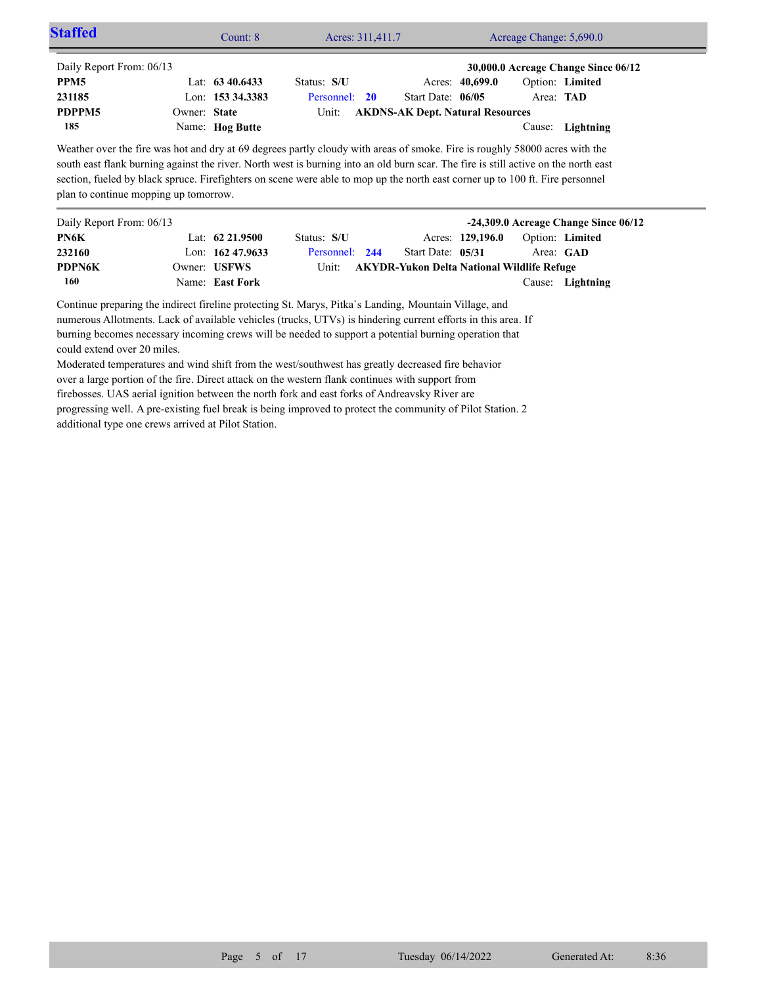| <b>Staffed</b>                                                                                                                                                                                                                               |              | Count: 8           | Acres: 311,411.7 |                                                   |                  | Acreage Change: 5,690.0 |                                                         |
|----------------------------------------------------------------------------------------------------------------------------------------------------------------------------------------------------------------------------------------------|--------------|--------------------|------------------|---------------------------------------------------|------------------|-------------------------|---------------------------------------------------------|
| Daily Report From: 06/13                                                                                                                                                                                                                     |              |                    |                  |                                                   |                  |                         | 30,000.0 Acreage Change Since 06/12                     |
| PPM <sub>5</sub>                                                                                                                                                                                                                             |              | Lat: $63\,40.6433$ | Status: S/U      |                                                   | Acres: 40,699.0  |                         | Option: Limited                                         |
| 231185                                                                                                                                                                                                                                       |              | Lon: 153 34.3383   | Personnel: 20    | Start Date: 06/05                                 |                  |                         | Area: TAD                                               |
| PDPPM5                                                                                                                                                                                                                                       | Owner: State |                    | Unit:            | <b>AKDNS-AK Dept. Natural Resources</b>           |                  |                         |                                                         |
| 185                                                                                                                                                                                                                                          |              | Name: Hog Butte    |                  |                                                   |                  | Cause:                  | Lightning                                               |
|                                                                                                                                                                                                                                              |              |                    |                  |                                                   |                  |                         |                                                         |
|                                                                                                                                                                                                                                              |              |                    |                  |                                                   |                  |                         |                                                         |
|                                                                                                                                                                                                                                              |              | Lat: $62\,21.9500$ | Status: S/U      |                                                   | Acres: 129,196.0 |                         | -24,309.0 Acreage Change Since 06/12<br>Option: Limited |
|                                                                                                                                                                                                                                              |              | Lon: $16247.9633$  | Personnel: 244   | Start Date: 05/31                                 |                  |                         | Area: GAD                                               |
|                                                                                                                                                                                                                                              |              | Owner: USFWS       | Unit:            | <b>AKYDR-Yukon Delta National Wildlife Refuge</b> |                  |                         |                                                         |
| section, fueled by black spruce. Firefighters on scene were able to mop up the north east corner up to 100 ft. Fire personnel<br>plan to continue mopping up tomorrow.<br>Daily Report From: 06/13<br>PN6K<br>232160<br><b>PDPN6K</b><br>160 |              | Name: East Fork    |                  |                                                   |                  | Cause:                  | Lightning                                               |

over a large portion of the fire. Direct attack on the western flank continues with support from firebosses. UAS aerial ignition between the north fork and east forks of Andreavsky River are progressing well. A pre-existing fuel break is being improved to protect the community of Pilot Station. 2 additional type one crews arrived at Pilot Station.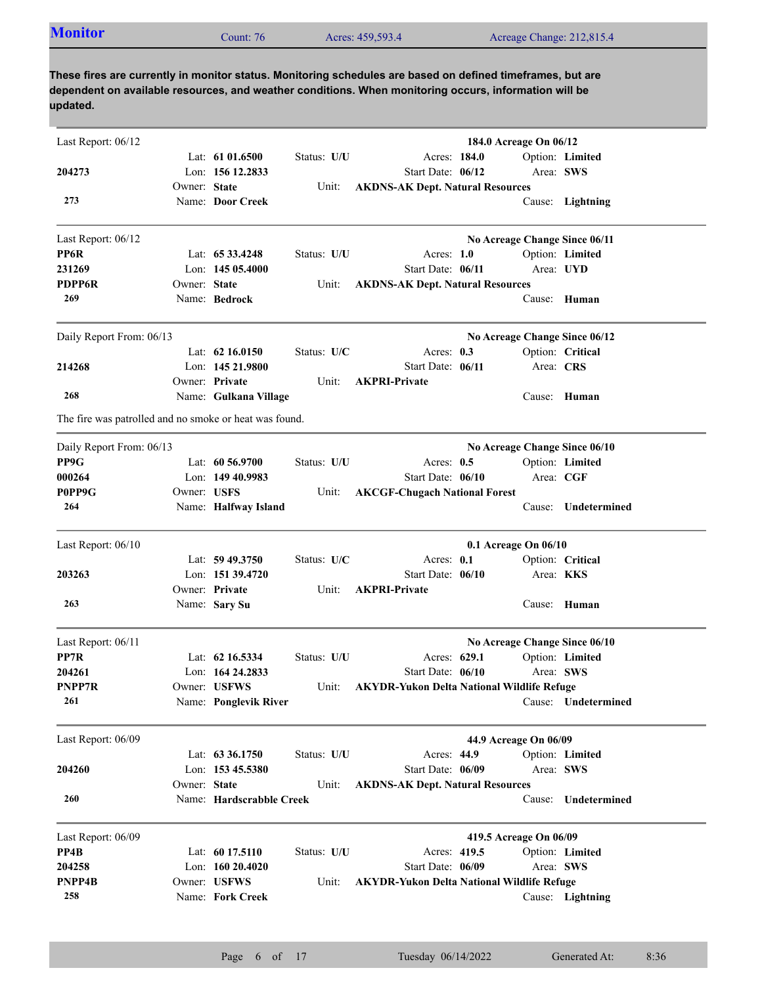|  | <b>Monitor</b> | $\mathcal{L}$ ount: 76 | Acres: 459,593.4 | Acreage Change: 212,815.4 |
|--|----------------|------------------------|------------------|---------------------------|
|--|----------------|------------------------|------------------|---------------------------|

| Last Report: $06/12$                                   |              |                          |             |                                                   | 184.0 Acreage On 06/12 |                  |                               |
|--------------------------------------------------------|--------------|--------------------------|-------------|---------------------------------------------------|------------------------|------------------|-------------------------------|
|                                                        |              | Lat: $61\,01.6500$       | Status: U/U | Acres: 184.0                                      |                        |                  | Option: Limited               |
| 204273                                                 |              | Lon: 156 12.2833         |             | Start Date: 06/12                                 |                        | Area: SWS        |                               |
|                                                        | Owner: State |                          | Unit:       | <b>AKDNS-AK Dept. Natural Resources</b>           |                        |                  |                               |
| 273                                                    |              | Name: Door Creek         |             |                                                   |                        |                  | Cause: Lightning              |
| Last Report: 06/12                                     |              |                          |             |                                                   |                        |                  | No Acreage Change Since 06/11 |
| PP6R                                                   |              | Lat: $6533.4248$         | Status: U/U | Acres: $1.0$                                      |                        |                  | Option: Limited               |
| 231269                                                 |              | Lon: $14505.4000$        |             | Start Date: 06/11                                 |                        |                  | Area: UYD                     |
| <b>PDPP6R</b>                                          | Owner: State |                          | Unit:       | <b>AKDNS-AK Dept. Natural Resources</b>           |                        |                  |                               |
| 269                                                    |              | Name: Bedrock            |             |                                                   |                        |                  | Cause: Human                  |
| Daily Report From: 06/13                               |              |                          |             |                                                   |                        |                  | No Acreage Change Since 06/12 |
|                                                        |              | Lat: $62\,16.0150$       | Status: U/C | Acres: $0.3$                                      |                        |                  | Option: Critical              |
| 214268                                                 |              | Lon: 145 21.9800         |             | Start Date: 06/11                                 |                        | Area: CRS        |                               |
|                                                        |              | Owner: Private           | Unit:       | <b>AKPRI-Private</b>                              |                        |                  |                               |
| 268                                                    |              | Name: Gulkana Village    |             |                                                   |                        |                  | Cause: Human                  |
| The fire was patrolled and no smoke or heat was found. |              |                          |             |                                                   |                        |                  |                               |
| Daily Report From: 06/13                               |              |                          |             |                                                   |                        |                  | No Acreage Change Since 06/10 |
| PP9G                                                   |              | Lat: $60\,56.9700$       | Status: U/U | Acres: $0.5$                                      |                        |                  | Option: Limited               |
| 000264                                                 |              | Lon: 149 40.9983         |             | Start Date: 06/10                                 |                        | Area: CGF        |                               |
| P0PP9G                                                 | Owner: USFS  |                          | Unit:       | <b>AKCGF-Chugach National Forest</b>              |                        |                  |                               |
| 264                                                    |              | Name: Halfway Island     |             |                                                   |                        | Cause:           | Undetermined                  |
| Last Report: 06/10                                     |              |                          |             |                                                   | 0.1 Acreage On 06/10   |                  |                               |
|                                                        |              | Lat: $59\,49.3750$       | Status: U/C | Acres: 0.1                                        |                        |                  | Option: Critical              |
| 203263                                                 |              | Lon: 151 39.4720         |             | Start Date: 06/10                                 |                        | Area: <b>KKS</b> |                               |
|                                                        |              | Owner: Private           | Unit:       | <b>AKPRI-Private</b>                              |                        |                  |                               |
| 263                                                    |              | Name: Sary Su            |             |                                                   |                        |                  | Cause: Human                  |
| Last Report: 06/11                                     |              |                          |             |                                                   |                        |                  | No Acreage Change Since 06/10 |
| PP7R                                                   |              | Lat: $62\,16.5334$       | Status: U/U | Acres: 629.1                                      |                        |                  | Option: Limited               |
| 204261                                                 |              | Lon: 164 24.2833         |             | Start Date: 06/10                                 |                        | Area: SWS        |                               |
| PNPP7R                                                 |              | Owner: USFWS             | Unit:       | <b>AKYDR-Yukon Delta National Wildlife Refuge</b> |                        |                  |                               |
| 261                                                    |              | Name: Ponglevik River    |             |                                                   |                        |                  | Cause: Undetermined           |
| Last Report: 06/09                                     |              |                          |             |                                                   | 44.9 Acreage On 06/09  |                  |                               |
|                                                        |              | Lat: 63 36.1750          | Status: U/U | Acres: 44.9                                       |                        |                  | Option: Limited               |
| 204260                                                 |              | Lon: 153 45.5380         |             | Start Date: 06/09                                 |                        | Area: SWS        |                               |
|                                                        | Owner: State |                          | Unit:       | <b>AKDNS-AK Dept. Natural Resources</b>           |                        |                  |                               |
| 260                                                    |              | Name: Hardscrabble Creek |             |                                                   |                        | Cause:           | Undetermined                  |
| Last Report: 06/09                                     |              |                          |             |                                                   | 419.5 Acreage On 06/09 |                  |                               |
| PP4B                                                   |              | Lat: $6017.5110$         | Status: U/U | Acres: 419.5                                      |                        |                  | Option: Limited               |
| 204258                                                 |              | Lon: 160 20.4020         |             | Start Date: 06/09                                 |                        | Area: SWS        |                               |
| PNPP4B                                                 |              | Owner: USFWS             | Unit:       | <b>AKYDR-Yukon Delta National Wildlife Refuge</b> |                        |                  |                               |
| 258                                                    |              | Name: Fork Creek         |             |                                                   |                        |                  | Cause: Lightning              |
|                                                        |              |                          |             |                                                   |                        |                  |                               |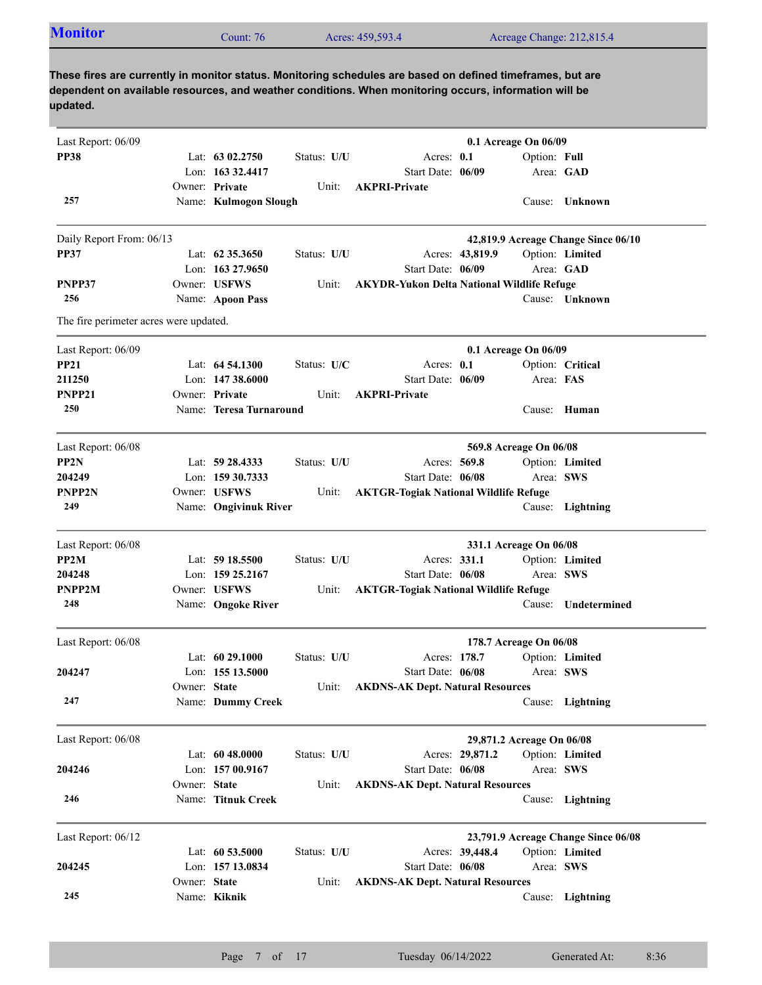| <b>Monitor</b> | Count: 76 | Acres: 459,593.4 | Acreage Change: 212,815.4 |
|----------------|-----------|------------------|---------------------------|
|                |           |                  |                           |

| Last Report: 06/09                     |              |                         |             |                                                   |                 | 0.1 Acreage On 06/09      |                                     |  |
|----------------------------------------|--------------|-------------------------|-------------|---------------------------------------------------|-----------------|---------------------------|-------------------------------------|--|
| <b>PP38</b>                            |              | Lat: 63 02.2750         | Status: U/U | Acres: 0.1                                        |                 | Option: Full              |                                     |  |
|                                        |              | Lon: 163 32.4417        |             | Start Date: 06/09                                 |                 | Area: GAD                 |                                     |  |
|                                        |              | Owner: Private          | Unit:       | <b>AKPRI-Private</b>                              |                 |                           |                                     |  |
| 257                                    |              | Name: Kulmogon Slough   |             |                                                   |                 |                           | Cause: Unknown                      |  |
|                                        |              |                         |             |                                                   |                 |                           |                                     |  |
| Daily Report From: 06/13               |              |                         |             |                                                   |                 |                           | 42,819.9 Acreage Change Since 06/10 |  |
| <b>PP37</b>                            |              | Lat: $62\,35.3650$      | Status: U/U |                                                   | Acres: 43,819.9 |                           | Option: Limited                     |  |
|                                        |              | Lon: 163 27.9650        |             | Start Date: 06/09                                 |                 |                           | Area: GAD                           |  |
| PNPP37                                 |              | Owner: USFWS            | Unit:       | <b>AKYDR-Yukon Delta National Wildlife Refuge</b> |                 |                           |                                     |  |
| 256                                    |              | Name: Apoon Pass        |             |                                                   |                 |                           | Cause: Unknown                      |  |
| The fire perimeter acres were updated. |              |                         |             |                                                   |                 |                           |                                     |  |
| Last Report: 06/09                     |              |                         |             |                                                   |                 | 0.1 Acreage On 06/09      |                                     |  |
| <b>PP21</b>                            |              | Lat: $64\,54.1300$      | Status: U/C | Acres: 0.1                                        |                 |                           | Option: Critical                    |  |
| 211250                                 |              | Lon: $14738.6000$       |             | Start Date: 06/09                                 |                 | Area: FAS                 |                                     |  |
| PNPP21                                 |              | Owner: Private          | Unit:       | <b>AKPRI-Private</b>                              |                 |                           |                                     |  |
| 250                                    |              | Name: Teresa Turnaround |             |                                                   |                 |                           | Cause: Human                        |  |
|                                        |              |                         |             |                                                   |                 |                           |                                     |  |
| Last Report: 06/08                     |              |                         |             |                                                   |                 | 569.8 Acreage On 06/08    |                                     |  |
| PP2N                                   |              | Lat: $59\,28.4333$      | Status: U/U | Acres: 569.8                                      |                 |                           | Option: Limited                     |  |
| 204249                                 |              | Lon: 159 30.7333        |             | Start Date: 06/08                                 |                 | Area: SWS                 |                                     |  |
| PNPP2N                                 |              | Owner: USFWS            | Unit:       | <b>AKTGR-Togiak National Wildlife Refuge</b>      |                 |                           |                                     |  |
| 249                                    |              | Name: Ongivinuk River   |             |                                                   |                 |                           | Cause: Lightning                    |  |
| Last Report: 06/08                     |              |                         |             |                                                   |                 | 331.1 Acreage On 06/08    |                                     |  |
| PP <sub>2</sub> M                      |              | Lat: 59 18.5500         | Status: U/U | Acres: 331.1                                      |                 |                           | Option: Limited                     |  |
| 204248                                 |              | Lon: 159 25.2167        |             | Start Date: 06/08                                 |                 | Area: SWS                 |                                     |  |
| PNPP2M                                 |              | Owner: USFWS            | Unit:       | <b>AKTGR-Togiak National Wildlife Refuge</b>      |                 |                           |                                     |  |
| 248                                    |              | Name: Ongoke River      |             |                                                   |                 | Cause:                    | Undetermined                        |  |
|                                        |              |                         |             |                                                   |                 |                           |                                     |  |
| Last Report: 06/08                     |              |                         |             |                                                   |                 | 178.7 Acreage On 06/08    |                                     |  |
|                                        |              | Lat: $6029.1000$        | Status: U/U | Acres: 178.7                                      |                 |                           | Option: Limited                     |  |
| 204247                                 |              | Lon: 155 13.5000        |             | Start Date: 06/08                                 |                 | Area: SWS                 |                                     |  |
|                                        | Owner: State |                         | Unit:       | <b>AKDNS-AK Dept. Natural Resources</b>           |                 |                           |                                     |  |
| 247                                    |              | Name: Dummy Creek       |             |                                                   |                 |                           | Cause: Lightning                    |  |
| Last Report: 06/08                     |              |                         |             |                                                   |                 | 29,871.2 Acreage On 06/08 |                                     |  |
|                                        |              | Lat: $6048.0000$        | Status: U/U |                                                   | Acres: 29,871.2 |                           | Option: Limited                     |  |
| 204246                                 |              | Lon: $15700.9167$       |             | Start Date: 06/08                                 |                 | Area: SWS                 |                                     |  |
|                                        | Owner: State |                         | Unit:       | <b>AKDNS-AK Dept. Natural Resources</b>           |                 |                           |                                     |  |
| 246                                    |              | Name: Titnuk Creek      |             |                                                   |                 | Cause:                    | Lightning                           |  |
|                                        |              |                         |             |                                                   |                 |                           |                                     |  |
| Last Report: 06/12                     |              |                         |             |                                                   |                 |                           | 23,791.9 Acreage Change Since 06/08 |  |
|                                        |              | Lat: 60 53.5000         | Status: U/U |                                                   | Acres: 39,448.4 |                           | Option: Limited                     |  |
| 204245                                 |              | Lon: 157 13.0834        |             | Start Date: 06/08                                 |                 | Area: SWS                 |                                     |  |
|                                        |              |                         | Unit:       | <b>AKDNS-AK Dept. Natural Resources</b>           |                 |                           |                                     |  |
| 245                                    | Owner: State | Name: Kiknik            |             |                                                   |                 |                           | Cause: Lightning                    |  |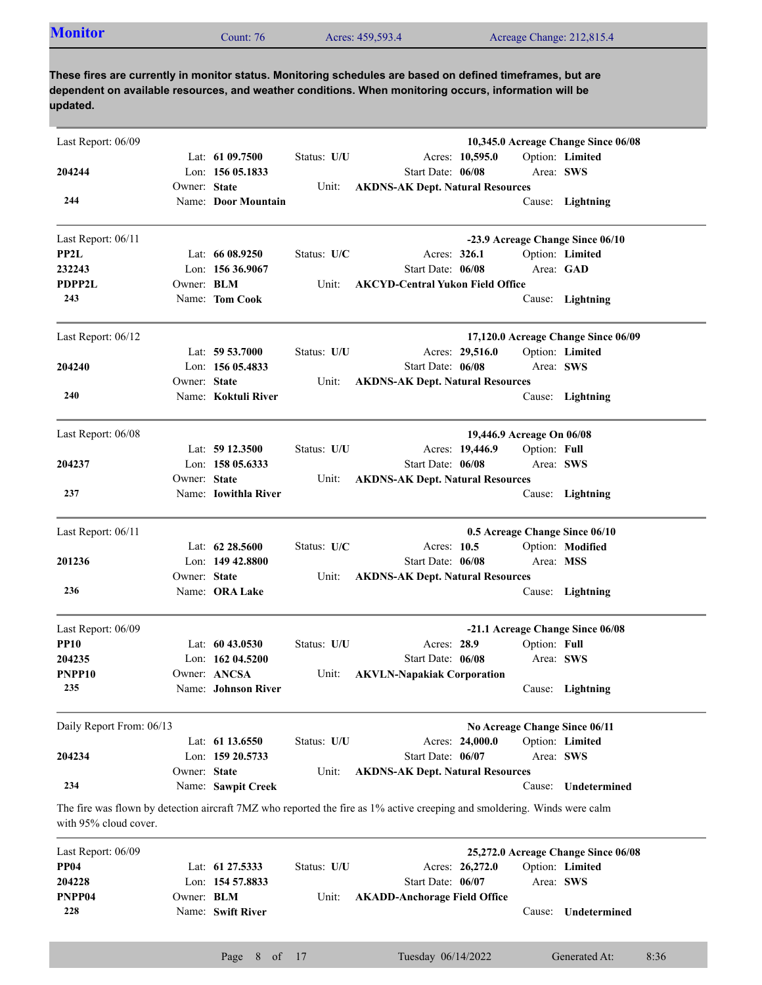| <b>Monitor</b><br>Acres: 459,593.4<br>Acreage Change: 212,815.4<br>$\mathcal$ count: 76 |  |  |  |  |  |
|-----------------------------------------------------------------------------------------|--|--|--|--|--|
|-----------------------------------------------------------------------------------------|--|--|--|--|--|

| Last Report: 06/09       |                   |                      |             |                                                                                                                          |              | 10,345.0 Acreage Change Since 06/08 |
|--------------------------|-------------------|----------------------|-------------|--------------------------------------------------------------------------------------------------------------------------|--------------|-------------------------------------|
|                          |                   | Lat: $6109.7500$     | Status: U/U | Acres: 10,595.0                                                                                                          |              | Option: Limited                     |
| 204244                   |                   | Lon: $15605.1833$    |             | Start Date: 06/08                                                                                                        | Area: SWS    |                                     |
|                          | Owner: State      |                      | Unit:       | <b>AKDNS-AK Dept. Natural Resources</b>                                                                                  |              |                                     |
| 244                      |                   | Name: Door Mountain  |             |                                                                                                                          |              | Cause: Lightning                    |
| Last Report: $06/11$     |                   |                      |             |                                                                                                                          |              | -23.9 Acreage Change Since 06/10    |
| PP2L                     |                   | Lat: $6608.9250$     | Status: U/C | Acres: 326.1                                                                                                             |              | Option: Limited                     |
| 232243                   |                   | Lon: $15636.9067$    |             | Start Date: 06/08                                                                                                        | Area: GAD    |                                     |
| <b>PDPP2L</b>            | Owner: <b>BLM</b> |                      | Unit:       | <b>AKCYD-Central Yukon Field Office</b>                                                                                  |              |                                     |
| 243                      |                   | Name: Tom Cook       |             |                                                                                                                          |              | Cause: Lightning                    |
| Last Report: 06/12       |                   |                      |             |                                                                                                                          |              | 17,120.0 Acreage Change Since 06/09 |
|                          |                   | Lat: $59\,53.7000$   | Status: U/U | Acres: 29,516.0                                                                                                          |              | Option: Limited                     |
| 204240                   |                   | Lon: 156 05.4833     |             | Start Date: 06/08                                                                                                        | Area: SWS    |                                     |
|                          | Owner: State      |                      | Unit:       | <b>AKDNS-AK Dept. Natural Resources</b>                                                                                  |              |                                     |
| 240                      |                   | Name: Koktuli River  |             |                                                                                                                          |              | Cause: Lightning                    |
|                          |                   |                      |             |                                                                                                                          |              |                                     |
| Last Report: 06/08       |                   |                      |             | 19,446.9 Acreage On 06/08                                                                                                |              |                                     |
|                          |                   | Lat: $5912.3500$     | Status: U/U | Acres: 19,446.9                                                                                                          | Option: Full |                                     |
| 204237                   |                   | Lon: 158 05.6333     |             | Start Date: 06/08                                                                                                        | Area: SWS    |                                     |
|                          | Owner: State      |                      | Unit:       | <b>AKDNS-AK Dept. Natural Resources</b>                                                                                  |              |                                     |
| 237                      |                   | Name: Iowithla River |             |                                                                                                                          |              | Cause: Lightning                    |
| Last Report: 06/11       |                   |                      |             | 0.5 Acreage Change Since 06/10                                                                                           |              |                                     |
|                          |                   | Lat: $62\,28.5600$   | Status: U/C | Acres: 10.5                                                                                                              |              | Option: Modified                    |
| 201236                   |                   | Lon: $149\,42.8800$  |             | Start Date: 06/08                                                                                                        | Area: MSS    |                                     |
|                          | Owner: State      |                      | Unit:       | <b>AKDNS-AK Dept. Natural Resources</b>                                                                                  |              |                                     |
| 236                      |                   | Name: ORA Lake       |             |                                                                                                                          |              | Cause: Lightning                    |
| Last Report: 06/09       |                   |                      |             |                                                                                                                          |              | -21.1 Acreage Change Since 06/08    |
| <b>PP10</b>              |                   | Lat: $6043.0530$     | Status: U/U | Acres: 28.9                                                                                                              | Option: Full |                                     |
| 204235                   |                   | Lon: $16204.5200$    |             | Start Date: 06/08                                                                                                        | Area: SWS    |                                     |
| PNPP <sub>10</sub>       |                   | Owner: ANCSA         | Unit:       | <b>AKVLN-Napakiak Corporation</b>                                                                                        |              |                                     |
| 235                      |                   | Name: Johnson River  |             |                                                                                                                          |              | Cause: Lightning                    |
| Daily Report From: 06/13 |                   |                      |             | No Acreage Change Since 06/11                                                                                            |              |                                     |
|                          |                   | Lat: 61 13.6550      | Status: U/U | Acres: 24,000.0                                                                                                          |              | Option: Limited                     |
| 204234                   |                   | Lon: 159 20.5733     |             | Start Date: 06/07                                                                                                        | Area: SWS    |                                     |
|                          | Owner: State      |                      | Unit:       | <b>AKDNS-AK Dept. Natural Resources</b>                                                                                  |              |                                     |
| 234                      |                   | Name: Sawpit Creek   |             |                                                                                                                          | Cause:       | Undetermined                        |
| with 95% cloud cover.    |                   |                      |             | The fire was flown by detection aircraft 7MZ who reported the fire as 1% active creeping and smoldering. Winds were calm |              |                                     |
| Last Report: 06/09       |                   |                      |             |                                                                                                                          |              | 25,272.0 Acreage Change Since 06/08 |
| <b>PP04</b>              |                   | Lat: 61 27.5333      | Status: U/U | Acres: 26,272.0                                                                                                          |              | Option: Limited                     |
| 204228                   |                   | Lon: 154 57.8833     |             | Start Date: 06/07                                                                                                        | Area: SWS    |                                     |
| PNPP04                   | Owner: BLM        |                      | Unit:       | <b>AKADD-Anchorage Field Office</b>                                                                                      |              |                                     |
| 228                      |                   | Name: Swift River    |             |                                                                                                                          |              | Cause: Undetermined                 |

Cause: **Undetermined**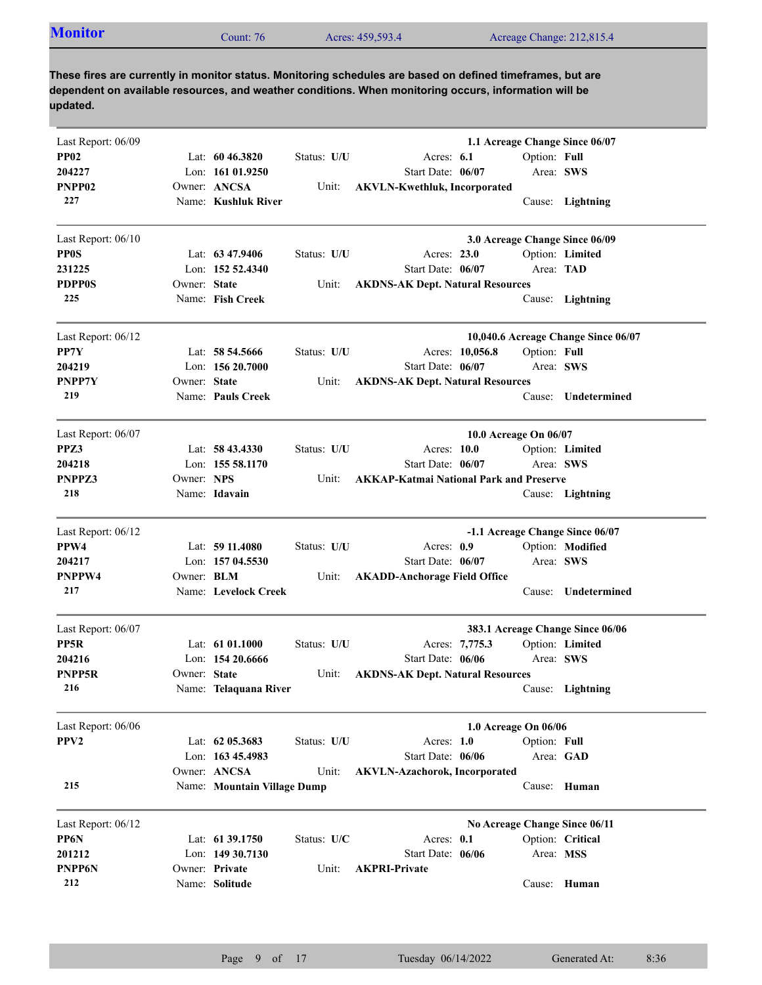| <b>Monitor</b><br>Acres: 459,593.4<br>Acreage Change: 212,815.4<br>Count: 76 |  |
|------------------------------------------------------------------------------|--|
|------------------------------------------------------------------------------|--|

| Last Report: 06/09 |                   |                             |             |                                                |                       |              | 1.1 Acreage Change Since 06/07      |
|--------------------|-------------------|-----------------------------|-------------|------------------------------------------------|-----------------------|--------------|-------------------------------------|
| <b>PP02</b>        |                   | Lat: $6046.3820$            | Status: U/U | Acres: 6.1                                     |                       | Option: Full |                                     |
| 204227             |                   | Lon: $16101.9250$           |             | Start Date: 06/07                              |                       | Area: SWS    |                                     |
| PNPP02             |                   | Owner: ANCSA                | Unit:       | <b>AKVLN-Kwethluk, Incorporated</b>            |                       |              |                                     |
| 227                |                   | Name: Kushluk River         |             |                                                |                       |              | Cause: Lightning                    |
| Last Report: 06/10 |                   |                             |             |                                                |                       |              | 3.0 Acreage Change Since 06/09      |
| <b>PP0S</b>        |                   | Lat: 63 47.9406             | Status: U/U | Acres: 23.0                                    |                       |              | Option: Limited                     |
| 231225             |                   | Lon: 152 52.4340            |             | Start Date: 06/07                              |                       | Area: TAD    |                                     |
| <b>PDPP0S</b>      | Owner: State      |                             | Unit:       | <b>AKDNS-AK Dept. Natural Resources</b>        |                       |              |                                     |
| 225                |                   | Name: Fish Creek            |             |                                                |                       |              | Cause: Lightning                    |
| Last Report: 06/12 |                   |                             |             |                                                |                       |              | 10,040.6 Acreage Change Since 06/07 |
| PP7Y               |                   | Lat: 58 54.5666             | Status: U/U |                                                | Acres: 10,056.8       | Option: Full |                                     |
| 204219             |                   | Lon: 156 20.7000            |             | Start Date: 06/07                              |                       | Area: SWS    |                                     |
| PNPP7Y             | Owner: State      |                             | Unit:       | <b>AKDNS-AK Dept. Natural Resources</b>        |                       |              |                                     |
| 219                |                   | Name: Pauls Creek           |             |                                                |                       |              | Cause: Undetermined                 |
| Last Report: 06/07 |                   |                             |             |                                                | 10.0 Acreage On 06/07 |              |                                     |
| PPZ3               |                   | Lat: $58\,43.4330$          | Status: U/U | Acres: 10.0                                    |                       |              | Option: Limited                     |
| 204218             |                   | Lon: $15558.1170$           |             | Start Date: 06/07                              |                       | Area: SWS    |                                     |
| PNPPZ3             | Owner: NPS        |                             | Unit:       | <b>AKKAP-Katmai National Park and Preserve</b> |                       |              |                                     |
| 218                |                   | Name: Idavain               |             |                                                |                       |              | Cause: Lightning                    |
| Last Report: 06/12 |                   |                             |             |                                                |                       |              | -1.1 Acreage Change Since 06/07     |
| PPW4               |                   | Lat: $5911.4080$            | Status: U/U | Acres: 0.9                                     |                       |              | Option: Modified                    |
| 204217             |                   | Lon: 157 04.5530            |             | Start Date: 06/07                              |                       | Area: SWS    |                                     |
| PNPPW4             | Owner: <b>BLM</b> |                             | Unit:       | <b>AKADD-Anchorage Field Office</b>            |                       |              |                                     |
| 217                |                   | Name: Levelock Creek        |             |                                                |                       |              | Cause: Undetermined                 |
| Last Report: 06/07 |                   |                             |             |                                                |                       |              | 383.1 Acreage Change Since 06/06    |
| PP5R               |                   | Lat: $6101.1000$            | Status: U/U |                                                | Acres: 7,775.3        |              | Option: Limited                     |
| 204216             |                   | Lon: $15420.6666$           |             | Start Date: 06/06                              |                       | Area: SWS    |                                     |
| PNPP5R             | Owner: State      |                             | Unit:       | <b>AKDNS-AK Dept. Natural Resources</b>        |                       |              |                                     |
| 216                |                   | Name: Telaquana River       |             |                                                |                       |              | Cause: Lightning                    |
| Last Report: 06/06 |                   |                             |             |                                                | 1.0 Acreage On 06/06  |              |                                     |
| PPV <sub>2</sub>   |                   | Lat: 62 05.3683             | Status: U/U | Acres: $1.0$                                   |                       | Option: Full |                                     |
|                    |                   | Lon: 163 45.4983            |             | Start Date: 06/06                              |                       | Area: GAD    |                                     |
|                    |                   | Owner: ANCSA                | Unit:       | <b>AKVLN-Azachorok, Incorporated</b>           |                       |              |                                     |
| 215                |                   | Name: Mountain Village Dump |             |                                                |                       |              | Cause: Human                        |
| Last Report: 06/12 |                   |                             |             |                                                |                       |              | No Acreage Change Since 06/11       |
| PP6N               |                   | Lat: 61 39.1750             | Status: U/C | Acres: 0.1                                     |                       |              | Option: Critical                    |
| 201212             |                   | Lon: $14930.7130$           |             | Start Date: 06/06                              |                       | Area: MSS    |                                     |
| PNPP6N             |                   | Owner: Private              | Unit:       | <b>AKPRI-Private</b>                           |                       |              |                                     |
| 212                |                   | Name: Solitude              |             |                                                |                       |              | Cause: Human                        |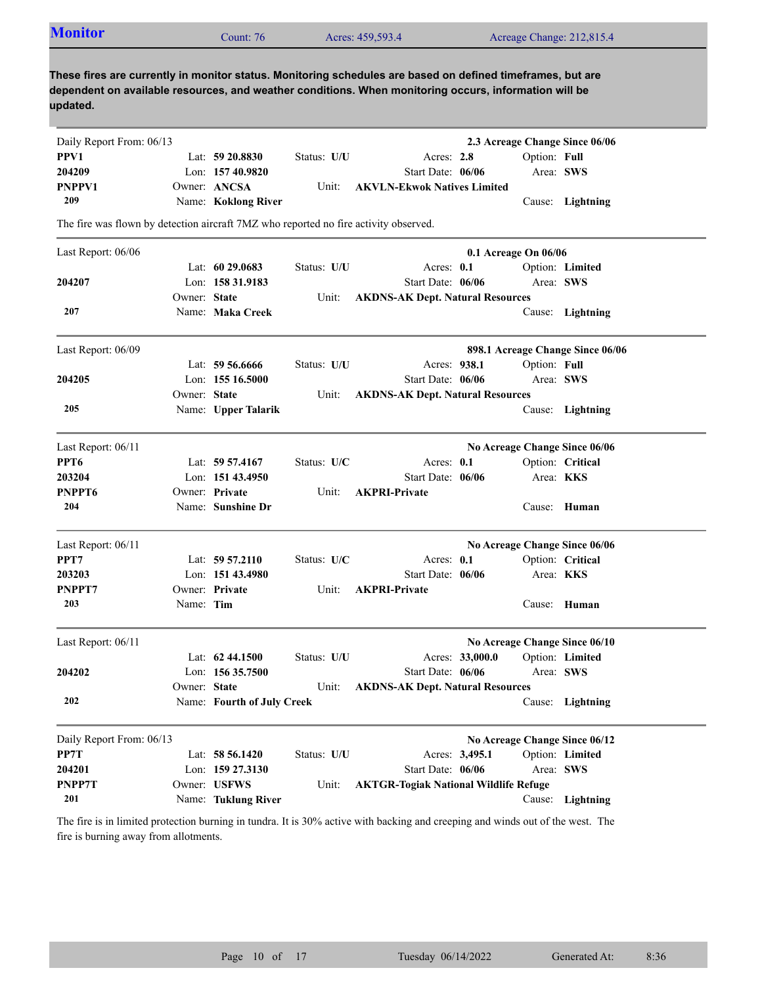| <b>Monitor</b>                                                                       |              | Count: 76                  |             | Acres: 459,593.4                                                                                                                                                                                                    |                 |                      | Acreage Change: 212,815.4        |
|--------------------------------------------------------------------------------------|--------------|----------------------------|-------------|---------------------------------------------------------------------------------------------------------------------------------------------------------------------------------------------------------------------|-----------------|----------------------|----------------------------------|
| updated.                                                                             |              |                            |             | These fires are currently in monitor status. Monitoring schedules are based on defined timeframes, but are<br>dependent on available resources, and weather conditions. When monitoring occurs, information will be |                 |                      |                                  |
| Daily Report From: 06/13                                                             |              |                            |             |                                                                                                                                                                                                                     |                 |                      | 2.3 Acreage Change Since 06/06   |
| PPV1                                                                                 |              | Lat: 59 20.8830            | Status: U/U | Acres: 2.8                                                                                                                                                                                                          |                 | Option: Full         |                                  |
| 204209                                                                               |              | Lon: 157 40.9820           |             | Start Date: 06/06                                                                                                                                                                                                   |                 | Area: SWS            |                                  |
| <b>PNPPV1</b>                                                                        |              | Owner: ANCSA               | Unit:       | <b>AKVLN-Ekwok Natives Limited</b>                                                                                                                                                                                  |                 |                      |                                  |
| 209                                                                                  |              | Name: Koklong River        |             |                                                                                                                                                                                                                     |                 |                      | Cause: Lightning                 |
| The fire was flown by detection aircraft 7MZ who reported no fire activity observed. |              |                            |             |                                                                                                                                                                                                                     |                 |                      |                                  |
| Last Report: 06/06                                                                   |              |                            |             |                                                                                                                                                                                                                     |                 | 0.1 Acreage On 06/06 |                                  |
|                                                                                      |              | Lat: 60 29.0683            | Status: U/U | Acres: $0.1$                                                                                                                                                                                                        |                 |                      | Option: Limited                  |
| 204207                                                                               |              | Lon: 158 31.9183           |             | Start Date: 06/06                                                                                                                                                                                                   |                 |                      | Area: SWS                        |
|                                                                                      | Owner: State |                            | Unit:       | <b>AKDNS-AK Dept. Natural Resources</b>                                                                                                                                                                             |                 |                      |                                  |
| 207                                                                                  |              | Name: Maka Creek           |             |                                                                                                                                                                                                                     |                 |                      | Cause: Lightning                 |
| Last Report: 06/09                                                                   |              |                            |             |                                                                                                                                                                                                                     |                 |                      | 898.1 Acreage Change Since 06/06 |
|                                                                                      |              | Lat: 59 56.6666            | Status: U/U | Acres: 938.1                                                                                                                                                                                                        |                 | Option: Full         |                                  |
| 204205                                                                               |              | Lon: 155 16.5000           |             | Start Date: 06/06                                                                                                                                                                                                   |                 | Area: SWS            |                                  |
|                                                                                      | Owner: State |                            | Unit:       | <b>AKDNS-AK Dept. Natural Resources</b>                                                                                                                                                                             |                 |                      |                                  |
| 205                                                                                  |              | Name: Upper Talarik        |             |                                                                                                                                                                                                                     |                 |                      | Cause: Lightning                 |
| Last Report: 06/11                                                                   |              |                            |             |                                                                                                                                                                                                                     |                 |                      | No Acreage Change Since 06/06    |
| PPT <sub>6</sub>                                                                     |              | Lat: $59\,57.4167$         | Status: U/C | Acres: $0.1$                                                                                                                                                                                                        |                 |                      | Option: Critical                 |
| 203204                                                                               |              | Lon: $15143.4950$          |             | Start Date: 06/06                                                                                                                                                                                                   |                 |                      | Area: <b>KKS</b>                 |
| PNPPT6                                                                               |              | Owner: Private             | Unit:       | <b>AKPRI-Private</b>                                                                                                                                                                                                |                 |                      |                                  |
| 204                                                                                  |              | Name: Sunshine Dr          |             |                                                                                                                                                                                                                     |                 |                      | Cause: Human                     |
| Last Report: 06/11                                                                   |              |                            |             |                                                                                                                                                                                                                     |                 |                      | No Acreage Change Since 06/06    |
| PPT7                                                                                 |              | Lat: $59\,57.2110$         | Status: U/C | Acres: 0.1                                                                                                                                                                                                          |                 |                      | Option: Critical                 |
| 203203                                                                               |              | Lon: $15143.4980$          |             | Start Date: 06/06                                                                                                                                                                                                   |                 |                      | Area: <b>KKS</b>                 |
| PNPPT7                                                                               |              | Owner: Private             | Unit:       | <b>AKPRI-Private</b>                                                                                                                                                                                                |                 |                      |                                  |
| 203                                                                                  | Name: Tim    |                            |             |                                                                                                                                                                                                                     |                 |                      | Cause: Human                     |
| Last Report: 06/11                                                                   |              |                            |             |                                                                                                                                                                                                                     |                 |                      | No Acreage Change Since 06/10    |
|                                                                                      |              | Lat: $62\,44.1500$         | Status: U/U |                                                                                                                                                                                                                     | Acres: 33,000.0 |                      | Option: Limited                  |
| 204202                                                                               |              | Lon: 156 35.7500           |             | Start Date: 06/06                                                                                                                                                                                                   |                 | Area: SWS            |                                  |
|                                                                                      | Owner: State |                            | Unit:       | <b>AKDNS-AK Dept. Natural Resources</b>                                                                                                                                                                             |                 |                      |                                  |
| 202                                                                                  |              | Name: Fourth of July Creek |             |                                                                                                                                                                                                                     |                 |                      | Cause: Lightning                 |
| Daily Report From: 06/13                                                             |              |                            |             |                                                                                                                                                                                                                     |                 |                      | No Acreage Change Since 06/12    |
| PP7T                                                                                 |              | Lat: 58 56.1420            | Status: U/U | Acres: 3,495.1                                                                                                                                                                                                      |                 |                      | Option: Limited                  |
| 204201                                                                               |              | Lon: 159 27.3130           |             | Start Date: 06/06                                                                                                                                                                                                   |                 | Area: SWS            |                                  |
|                                                                                      |              |                            |             |                                                                                                                                                                                                                     |                 |                      |                                  |
| PNPP7T                                                                               |              | Owner: USFWS               | Unit:       | <b>AKTGR-Togiak National Wildlife Refuge</b>                                                                                                                                                                        |                 |                      |                                  |

The fire is in limited protection burning in tundra. It is 30% active with backing and creeping and winds out of the west. The fire is burning away from allotments.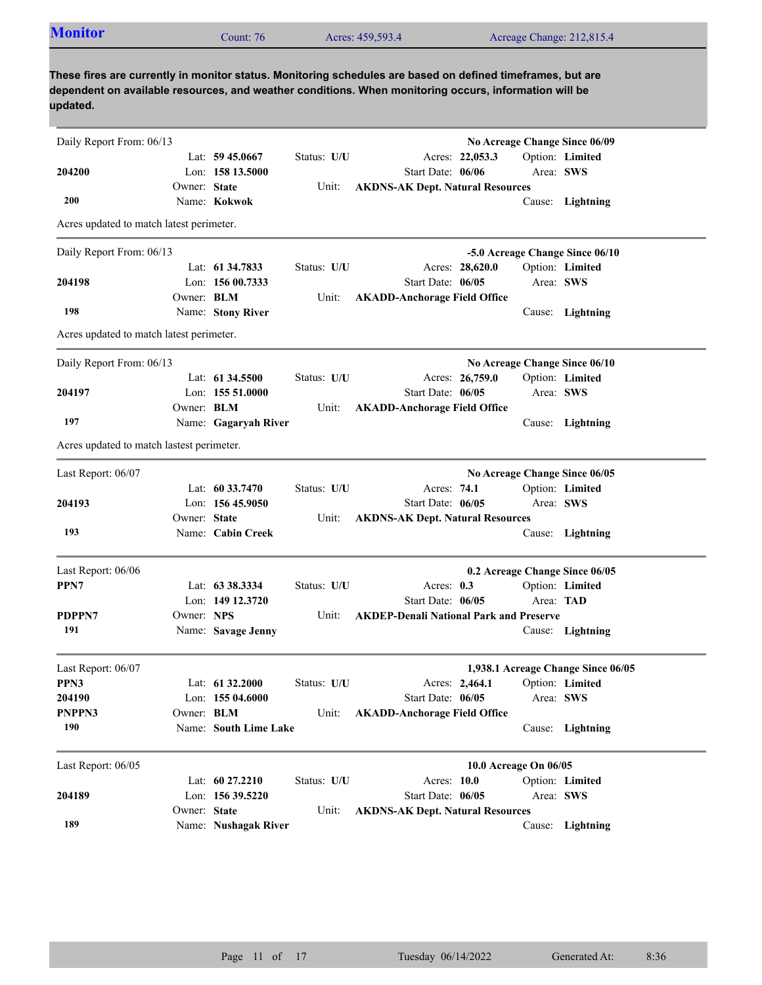| <b>Monitor</b>                            |                   | Count: 76             |             | Acres: 459,593.4                                                                                                                                                                                                    |                       | Acreage Change: 212,815.4          |
|-------------------------------------------|-------------------|-----------------------|-------------|---------------------------------------------------------------------------------------------------------------------------------------------------------------------------------------------------------------------|-----------------------|------------------------------------|
| updated.                                  |                   |                       |             | These fires are currently in monitor status. Monitoring schedules are based on defined timeframes, but are<br>dependent on available resources, and weather conditions. When monitoring occurs, information will be |                       |                                    |
| Daily Report From: 06/13                  |                   |                       |             |                                                                                                                                                                                                                     |                       | No Acreage Change Since 06/09      |
|                                           |                   | Lat: $59\,45.0667$    | Status: U/U | Acres: 22,053.3                                                                                                                                                                                                     |                       | Option: Limited                    |
| 204200                                    |                   | Lon: 158 13.5000      |             | Start Date: 06/06                                                                                                                                                                                                   |                       | Area: SWS                          |
|                                           | Owner: State      |                       | Unit:       | <b>AKDNS-AK Dept. Natural Resources</b>                                                                                                                                                                             |                       |                                    |
| 200                                       |                   | Name: Kokwok          |             |                                                                                                                                                                                                                     |                       | Cause: Lightning                   |
| Acres updated to match latest perimeter.  |                   |                       |             |                                                                                                                                                                                                                     |                       |                                    |
| Daily Report From: 06/13                  |                   |                       |             |                                                                                                                                                                                                                     |                       | -5.0 Acreage Change Since 06/10    |
|                                           |                   | Lat: 61 34.7833       | Status: U/U | Acres: 28,620.0                                                                                                                                                                                                     |                       | Option: Limited                    |
| 204198                                    |                   | Lon: $15600.7333$     |             | Start Date: 06/05                                                                                                                                                                                                   |                       | Area: SWS                          |
|                                           | Owner: <b>BLM</b> |                       | Unit:       | <b>AKADD-Anchorage Field Office</b>                                                                                                                                                                                 |                       |                                    |
| 198                                       |                   | Name: Stony River     |             |                                                                                                                                                                                                                     |                       | Cause: Lightning                   |
| Acres updated to match latest perimeter.  |                   |                       |             |                                                                                                                                                                                                                     |                       |                                    |
| Daily Report From: 06/13                  |                   |                       |             |                                                                                                                                                                                                                     |                       | No Acreage Change Since 06/10      |
|                                           |                   | Lat: 61 34.5500       | Status: U/U | Acres: 26,759.0                                                                                                                                                                                                     |                       | Option: Limited                    |
| 204197                                    |                   | Lon: $15551.0000$     |             | Start Date: 06/05                                                                                                                                                                                                   |                       | Area: SWS                          |
|                                           | Owner: <b>BLM</b> |                       | Unit:       | <b>AKADD-Anchorage Field Office</b>                                                                                                                                                                                 |                       |                                    |
| 197                                       |                   | Name: Gagaryah River  |             |                                                                                                                                                                                                                     |                       | Cause: Lightning                   |
| Acres updated to match lastest perimeter. |                   |                       |             |                                                                                                                                                                                                                     |                       |                                    |
| Last Report: 06/07                        |                   |                       |             |                                                                                                                                                                                                                     |                       | No Acreage Change Since 06/05      |
|                                           |                   | Lat: $60\,33.7470$    | Status: U/U | Acres: 74.1                                                                                                                                                                                                         |                       | Option: Limited                    |
| 204193                                    |                   | Lon: $15645.9050$     |             | Start Date: 06/05                                                                                                                                                                                                   |                       | Area: SWS                          |
|                                           | Owner: State      |                       | Unit:       | <b>AKDNS-AK Dept. Natural Resources</b>                                                                                                                                                                             |                       |                                    |
| 193                                       |                   | Name: Cabin Creek     |             |                                                                                                                                                                                                                     |                       | Cause: Lightning                   |
|                                           |                   |                       |             |                                                                                                                                                                                                                     |                       |                                    |
| Last Report: 06/06                        |                   |                       |             |                                                                                                                                                                                                                     |                       | 0.2 Acreage Change Since 06/05     |
| PPN7                                      |                   | Lat: 63 38.3334       | Status: U/U | Acres: 0.3                                                                                                                                                                                                          |                       | Option: Limited                    |
|                                           |                   | Lon: 149 12.3720      |             | Start Date: 06/05                                                                                                                                                                                                   |                       | Area: TAD                          |
| PDPPN7                                    | Owner: NPS        |                       | Unit:       | <b>AKDEP-Denali National Park and Preserve</b>                                                                                                                                                                      |                       |                                    |
| 191                                       |                   | Name: Savage Jenny    |             |                                                                                                                                                                                                                     |                       | Cause: Lightning                   |
| Last Report: 06/07                        |                   |                       |             |                                                                                                                                                                                                                     |                       | 1,938.1 Acreage Change Since 06/05 |
| PPN3                                      |                   | Lat: 61 32.2000       | Status: U/U | Acres: 2,464.1                                                                                                                                                                                                      |                       | Option: Limited                    |
| 204190                                    |                   | Lon: 155 04.6000      |             | Start Date: 06/05                                                                                                                                                                                                   |                       | Area: SWS                          |
| PNPPN3                                    | Owner: BLM        |                       | Unit:       | <b>AKADD-Anchorage Field Office</b>                                                                                                                                                                                 |                       |                                    |
| 190                                       |                   | Name: South Lime Lake |             |                                                                                                                                                                                                                     |                       | Cause: Lightning                   |
|                                           |                   |                       |             |                                                                                                                                                                                                                     |                       |                                    |
| Last Report: 06/05                        |                   |                       |             |                                                                                                                                                                                                                     | 10.0 Acreage On 06/05 |                                    |
|                                           |                   | Lat: 60 27.2210       | Status: U/U | Acres: 10.0                                                                                                                                                                                                         |                       | Option: Limited                    |
| 204189                                    |                   | Lon: 156 39.5220      |             | Start Date: 06/05                                                                                                                                                                                                   |                       | Area: SWS                          |
|                                           | Owner: State      |                       | Unit:       | <b>AKDNS-AK Dept. Natural Resources</b>                                                                                                                                                                             |                       |                                    |

Name: **Nushagak River** Cause: **Lightning**

**189**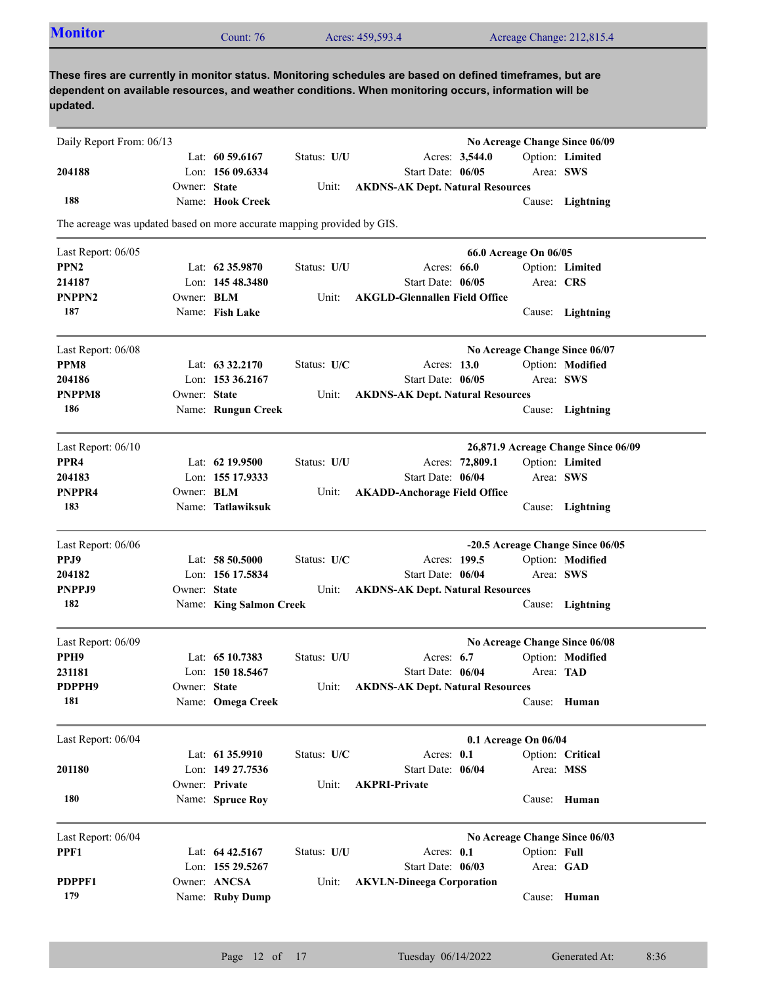| <b>Monitor</b>                                                          |                   | Count: $76$                        |             | Acres: 459,593.4                                                                                                                                                                                                    |                       | Acreage Change: 212,815.4           |
|-------------------------------------------------------------------------|-------------------|------------------------------------|-------------|---------------------------------------------------------------------------------------------------------------------------------------------------------------------------------------------------------------------|-----------------------|-------------------------------------|
|                                                                         |                   |                                    |             |                                                                                                                                                                                                                     |                       |                                     |
| updated.                                                                |                   |                                    |             | These fires are currently in monitor status. Monitoring schedules are based on defined timeframes, but are<br>dependent on available resources, and weather conditions. When monitoring occurs, information will be |                       |                                     |
| Daily Report From: 06/13                                                |                   |                                    |             |                                                                                                                                                                                                                     |                       | No Acreage Change Since 06/09       |
|                                                                         |                   | Lat: $60\,59.6167$                 | Status: U/U | Acres: 3,544.0                                                                                                                                                                                                      |                       | Option: Limited                     |
| 204188                                                                  |                   | Lon: 156 09.6334                   |             | Start Date: 06/05                                                                                                                                                                                                   |                       | Area: SWS                           |
|                                                                         | Owner: State      |                                    | Unit:       | <b>AKDNS-AK Dept. Natural Resources</b>                                                                                                                                                                             |                       |                                     |
| 188                                                                     |                   | Name: Hook Creek                   |             |                                                                                                                                                                                                                     |                       | Cause: Lightning                    |
| The acreage was updated based on more accurate mapping provided by GIS. |                   |                                    |             |                                                                                                                                                                                                                     |                       |                                     |
| Last Report: 06/05                                                      |                   |                                    |             |                                                                                                                                                                                                                     | 66.0 Acreage On 06/05 |                                     |
| PPN <sub>2</sub>                                                        |                   | Lat: $62\,35.9870$                 | Status: U/U | Acres: $66.0$                                                                                                                                                                                                       |                       | Option: Limited                     |
| 214187                                                                  |                   | Lon: $14548.3480$                  |             | Start Date: 06/05                                                                                                                                                                                                   |                       | Area: CRS                           |
| <b>PNPPN2</b>                                                           | Owner: BLM        |                                    | Unit:       | <b>AKGLD-Glennallen Field Office</b>                                                                                                                                                                                |                       |                                     |
| 187                                                                     |                   | Name: Fish Lake                    |             |                                                                                                                                                                                                                     |                       | Cause: Lightning                    |
| Last Report: 06/08                                                      |                   |                                    |             |                                                                                                                                                                                                                     |                       | No Acreage Change Since 06/07       |
| PPM8                                                                    |                   | Lat: $63\,32.2170$                 | Status: U/C | Acres: 13.0                                                                                                                                                                                                         |                       | Option: Modified                    |
| 204186                                                                  |                   | Lon: $153\,36.2167$                |             | Start Date: 06/05                                                                                                                                                                                                   |                       | Area: SWS                           |
| <b>PNPPM8</b>                                                           | Owner: State      |                                    | Unit:       | <b>AKDNS-AK Dept. Natural Resources</b>                                                                                                                                                                             |                       |                                     |
| 186                                                                     |                   | Name: Rungun Creek                 |             |                                                                                                                                                                                                                     |                       | Cause: Lightning                    |
| Last Report: 06/10                                                      |                   |                                    |             |                                                                                                                                                                                                                     |                       | 26,871.9 Acreage Change Since 06/09 |
| PPR <sub>4</sub>                                                        |                   | Lat: $62$ 19.9500                  | Status: U/U |                                                                                                                                                                                                                     | Acres: 72,809.1       | Option: Limited                     |
| 204183                                                                  |                   | Lon: 155 17.9333                   |             | Start Date: 06/04                                                                                                                                                                                                   |                       | Area: SWS                           |
| PNPPR4                                                                  | Owner: <b>BLM</b> |                                    | Unit:       | <b>AKADD-Anchorage Field Office</b>                                                                                                                                                                                 |                       |                                     |
| 183                                                                     |                   | Name: Tatlawiksuk                  |             |                                                                                                                                                                                                                     |                       | Cause: Lightning                    |
| Last Report: 06/06                                                      |                   |                                    |             |                                                                                                                                                                                                                     |                       | -20.5 Acreage Change Since 06/05    |
| PPJ9                                                                    |                   | Lat: $5850.5000$                   | Status: U/C | Acres: 199.5                                                                                                                                                                                                        |                       | Option: Modified                    |
| 204182                                                                  |                   | Lon: 156 17.5834                   |             | Start Date: 06/04                                                                                                                                                                                                   |                       | Area: SWS                           |
| PNPPJ9                                                                  | Owner: State      |                                    | Unit:       | <b>AKDNS-AK Dept. Natural Resources</b>                                                                                                                                                                             |                       |                                     |
| 182                                                                     |                   | Name: King Salmon Creek            |             |                                                                                                                                                                                                                     |                       | Cause: Lightning                    |
| Last Report: 06/09                                                      |                   |                                    |             |                                                                                                                                                                                                                     |                       | No Acreage Change Since 06/08       |
| PPH <sub>9</sub>                                                        |                   | Lat: 65 10.7383                    | Status: U/U | Acres: $6.7$                                                                                                                                                                                                        |                       | Option: Modified                    |
| 231181                                                                  |                   | Lon: 150 18.5467                   |             | Start Date: 06/04                                                                                                                                                                                                   |                       | Area: TAD                           |
| PDPPH9<br>181                                                           | Owner: State      | Name: Omega Creek                  | Unit:       | <b>AKDNS-AK Dept. Natural Resources</b>                                                                                                                                                                             |                       | Cause: Human                        |
|                                                                         |                   |                                    |             |                                                                                                                                                                                                                     |                       |                                     |
| Last Report: 06/04                                                      |                   |                                    |             |                                                                                                                                                                                                                     | 0.1 Acreage On 06/04  |                                     |
|                                                                         |                   | Lat: 61 35.9910                    | Status: U/C | Acres: 0.1                                                                                                                                                                                                          |                       | Option: Critical                    |
| 201180                                                                  |                   | Lon: 149 27.7536<br>Owner: Private | Unit:       | Start Date: 06/04<br><b>AKPRI-Private</b>                                                                                                                                                                           |                       | Area: MSS                           |
| 180                                                                     |                   | Name: Spruce Roy                   |             |                                                                                                                                                                                                                     |                       | Cause: Human                        |
|                                                                         |                   |                                    |             |                                                                                                                                                                                                                     |                       |                                     |

| Last Report: 06/04 |                    |             |                                 |              | No Acreage Change Since 06/03 |
|--------------------|--------------------|-------------|---------------------------------|--------------|-------------------------------|
| PPF1               | Lat: $64\,42.5167$ | Status: U/U | Acres: $0.1$                    | Option: Full |                               |
|                    | Lon: $15529.5267$  |             | Start Date: $06/03$             | Area: GAD    |                               |
| PDPPF1             | Owner: ANCSA       |             | Unit: AKVLN-Dineega Corporation |              |                               |
| 179                | Name: Ruby Dump    |             |                                 |              | Cause: Human                  |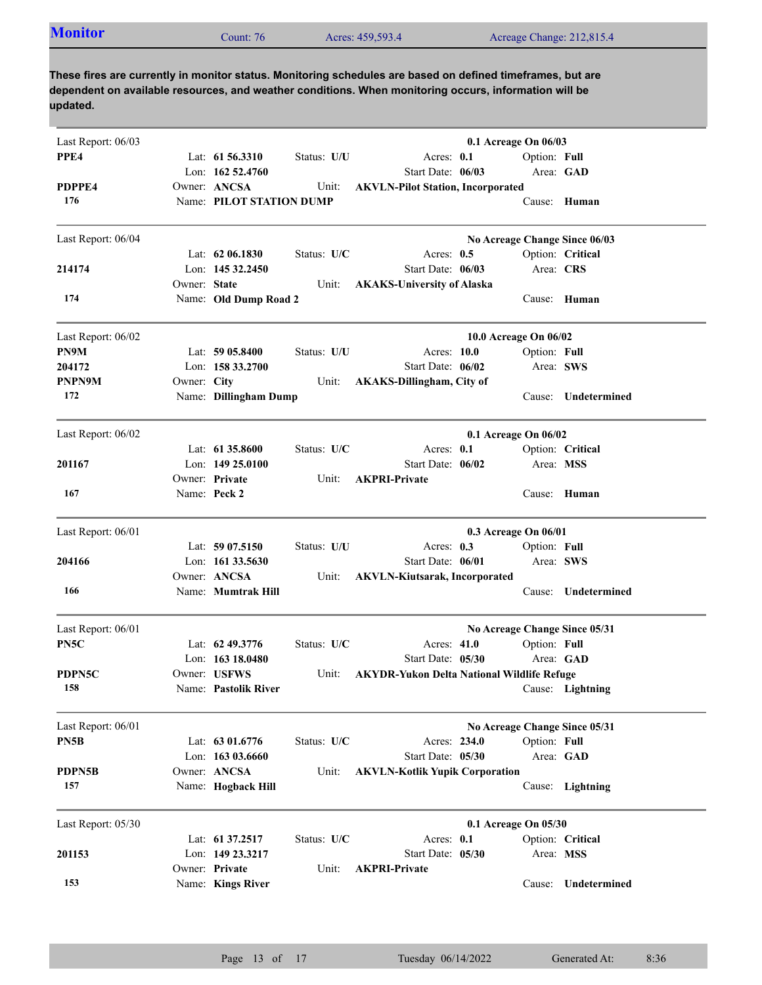| <b>Monitor</b> | Count: 76 | Acres: 459,593.4 | Acreage Change: 212,815.4 |
|----------------|-----------|------------------|---------------------------|
|                |           |                  |                           |

| Last Report: 06/03 |              |                          |             |                                                   | 0.1 Acreage On 06/03  |                               |
|--------------------|--------------|--------------------------|-------------|---------------------------------------------------|-----------------------|-------------------------------|
| PPE4               |              | Lat: $61\,56.3310$       | Status: U/U | Acres: 0.1                                        | Option: Full          |                               |
|                    |              | Lon: 162 52.4760         |             | Start Date: 06/03                                 |                       | Area: GAD                     |
| PDPPE4             |              | Owner: ANCSA             | Unit:       | <b>AKVLN-Pilot Station, Incorporated</b>          |                       |                               |
| 176                |              | Name: PILOT STATION DUMP |             |                                                   |                       | Cause: Human                  |
| Last Report: 06/04 |              |                          |             |                                                   |                       | No Acreage Change Since 06/03 |
|                    |              | Lat: $6206.1830$         | Status: U/C | Acres: $0.5$                                      |                       | Option: Critical              |
| 214174             |              | Lon: $14532.2450$        |             | Start Date: 06/03                                 | Area: CRS             |                               |
|                    | Owner: State |                          | Unit:       | <b>AKAKS-University of Alaska</b>                 |                       |                               |
| 174                |              | Name: Old Dump Road 2    |             |                                                   |                       | Cause: Human                  |
| Last Report: 06/02 |              |                          |             |                                                   | 10.0 Acreage On 06/02 |                               |
| PN9M               |              | Lat: 59 05.8400          | Status: U/U | Acres: 10.0                                       | Option: Full          |                               |
| 204172             |              | Lon: 158 33.2700         |             | Start Date: 06/02                                 | Area: SWS             |                               |
| PNPN9M             | Owner: City  |                          | Unit:       | <b>AKAKS-Dillingham, City of</b>                  |                       |                               |
| 172                |              | Name: Dillingham Dump    |             |                                                   | Cause:                | Undetermined                  |
| Last Report: 06/02 |              |                          |             |                                                   | 0.1 Acreage On 06/02  |                               |
|                    |              | Lat: $61\,35.8600$       | Status: U/C | Acres: $0.1$                                      |                       | Option: Critical              |
| 201167             |              | Lon: $14925.0100$        |             | Start Date: 06/02                                 | Area: MSS             |                               |
|                    |              | Owner: Private           | Unit:       | <b>AKPRI-Private</b>                              |                       |                               |
| 167                |              | Name: Peck 2             |             |                                                   | Cause:                | Human                         |
| Last Report: 06/01 |              |                          |             |                                                   | 0.3 Acreage On 06/01  |                               |
|                    |              | Lat: $5907.5150$         | Status: U/U | Acres: $0.3$                                      | Option: Full          |                               |
| 204166             |              | Lon: $161\,33.5630$      |             | Start Date: 06/01                                 | Area: SWS             |                               |
|                    |              | Owner: ANCSA             | Unit:       | <b>AKVLN-Kiutsarak, Incorporated</b>              |                       |                               |
| 166                |              | Name: Mumtrak Hill       |             |                                                   | Cause:                | Undetermined                  |
| Last Report: 06/01 |              |                          |             |                                                   |                       | No Acreage Change Since 05/31 |
| PN <sub>5</sub> C  |              | Lat: $62\,49.3776$       | Status: U/C | Acres: 41.0                                       | Option: Full          |                               |
|                    |              | Lon: $16318.0480$        |             | Start Date: 05/30                                 |                       | Area: GAD                     |
| PDPN5C             |              | Owner: USFWS             | Unit:       | <b>AKYDR-Yukon Delta National Wildlife Refuge</b> |                       |                               |
| 158                |              | Name: Pastolik River     |             |                                                   |                       | Cause: Lightning              |
| Last Report: 06/01 |              |                          |             |                                                   |                       | No Acreage Change Since 05/31 |
| PN5B               |              | Lat: 63 01.6776          | Status: U/C | Acres: 234.0                                      | Option: Full          |                               |
|                    |              | Lon: 163 03.6660         |             | Start Date: 05/30                                 |                       | Area: GAD                     |
| <b>PDPN5B</b>      |              | Owner: ANCSA             | Unit:       | <b>AKVLN-Kotlik Yupik Corporation</b>             |                       |                               |
| 157                |              | Name: Hogback Hill       |             |                                                   |                       | Cause: Lightning              |
| Last Report: 05/30 |              |                          |             |                                                   | 0.1 Acreage On 05/30  |                               |
|                    |              | Lat: 61 37.2517          | Status: U/C | Acres: 0.1                                        |                       | Option: Critical              |
| 201153             |              | Lon: 149 23.3217         |             | Start Date: 05/30                                 | Area: MSS             |                               |
|                    |              | Owner: Private           | Unit:       | <b>AKPRI-Private</b>                              |                       |                               |
| 153                |              | Name: Kings River        |             |                                                   | Cause:                | Undetermined                  |
|                    |              |                          |             |                                                   |                       |                               |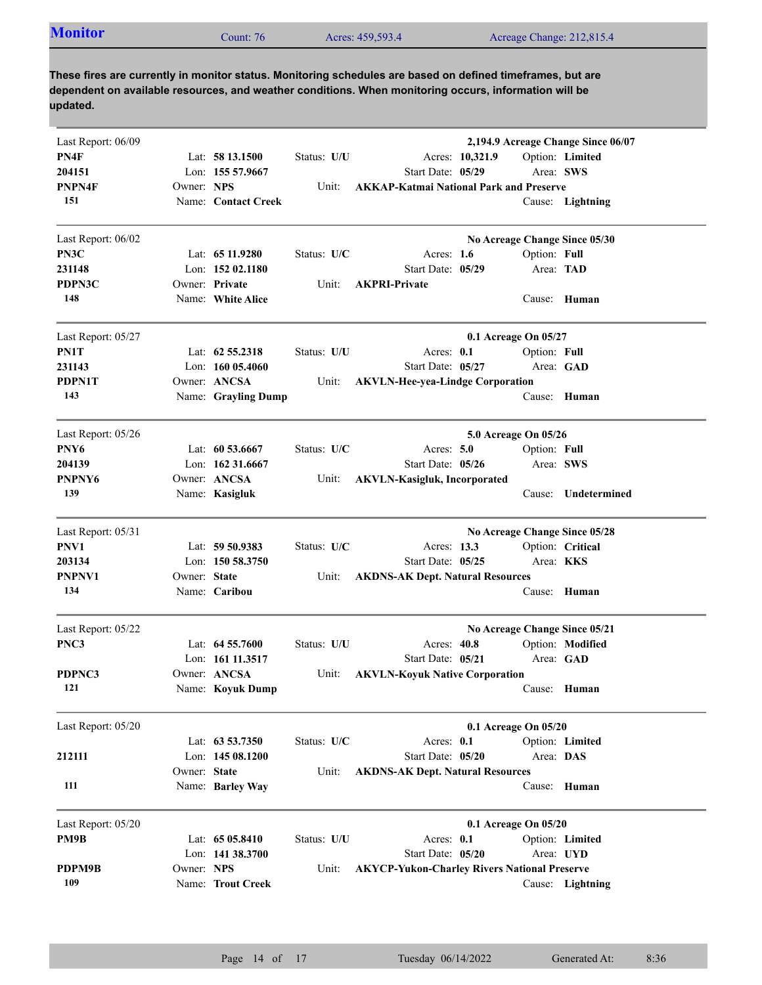| Last Report: 06/09 |              |                     |             | 2,194.9 Acreage Change Since 06/07                  |
|--------------------|--------------|---------------------|-------------|-----------------------------------------------------|
| PN4F               |              | Lat: $5813.1500$    | Status: U/U | Option: Limited<br>Acres: 10,321.9                  |
| 204151             |              | Lon: 155 57.9667    |             | Start Date: 05/29<br>Area: SWS                      |
| PNPN4F             | Owner: NPS   |                     | Unit:       | <b>AKKAP-Katmai National Park and Preserve</b>      |
| 151                |              | Name: Contact Creek |             | Cause: Lightning                                    |
| Last Report: 06/02 |              |                     |             | No Acreage Change Since 05/30                       |
| PN3C               |              | Lat: 65 11.9280     | Status: U/C | Acres: $1.6$<br>Option: Full                        |
| 231148             |              | Lon: 152 02.1180    |             | Start Date: 05/29<br>Area: TAD                      |
| PDPN3C             |              | Owner: Private      | Unit:       | <b>AKPRI-Private</b>                                |
| 148                |              | Name: White Alice   |             | Cause: Human                                        |
| Last Report: 05/27 |              |                     |             | 0.1 Acreage On 05/27                                |
| PN1T               |              | Lat: $62\,55.2318$  | Status: U/U | Acres: 0.1<br>Option: Full                          |
| 231143             |              | Lon: $16005.4060$   |             | Start Date: 05/27<br>Area: GAD                      |
| PDPN1T             |              | Owner: ANCSA        | Unit:       | <b>AKVLN-Hee-yea-Lindge Corporation</b>             |
| 143                |              | Name: Grayling Dump |             | Cause: Human                                        |
| Last Report: 05/26 |              |                     |             | 5.0 Acreage On 05/26                                |
| PNY <sub>6</sub>   |              | Lat: $60\,53.6667$  | Status: U/C | Acres: $5.0$<br>Option: Full                        |
| 204139             |              | Lon: 162 31.6667    |             | Start Date: 05/26<br>Area: SWS                      |
| PNPNY6             |              | Owner: ANCSA        | Unit:       | <b>AKVLN-Kasigluk, Incorporated</b>                 |
| 139                |              | Name: Kasigluk      |             | Undetermined<br>Cause:                              |
| Last Report: 05/31 |              |                     |             | No Acreage Change Since 05/28                       |
| PNV1               |              | Lat: 59 50.9383     | Status: U/C | Option: Critical<br>Acres: 13.3                     |
| 203134             |              | Lon: $15058.3750$   |             | Start Date: 05/25<br>Area: KKS                      |
| PNPNV1             | Owner: State |                     | Unit:       | <b>AKDNS-AK Dept. Natural Resources</b>             |
| 134                |              | Name: Caribou       |             | Cause: Human                                        |
| Last Report: 05/22 |              |                     |             | No Acreage Change Since 05/21                       |
| PNC3               |              | Lat: $64\,55.7600$  | Status: U/U | Option: Modified<br>Acres: $40.8$                   |
|                    |              | Lon: 161 11.3517    |             | Area: GAD<br>Start Date: 05/21                      |
| PDPNC3             |              | Owner: ANCSA        | Unit:       | <b>AKVLN-Koyuk Native Corporation</b>               |
| 121                |              | Name: Koyuk Dump    |             | Cause: <b>Human</b>                                 |
| Last Report: 05/20 |              |                     |             | 0.1 Acreage On 05/20                                |
|                    |              | Lat: $63\,53.7350$  | Status: U/C | Acres: 0.1<br>Option: Limited                       |
| 212111             |              | Lon: $14508.1200$   |             | Area: DAS<br>Start Date: 05/20                      |
|                    | Owner: State |                     | Unit:       | <b>AKDNS-AK Dept. Natural Resources</b>             |
| 111                |              | Name: Barley Way    |             | Cause: Human                                        |
| Last Report: 05/20 |              |                     |             | 0.1 Acreage On 05/20                                |
| PM9B               |              | Lat: $6505.8410$    | Status: U/U | Acres: 0.1<br>Option: Limited                       |
|                    |              | Lon: 141 38.3700    |             | Start Date: 05/20<br>Area: UYD                      |
| PDPM9B             | Owner: NPS   |                     | Unit:       | <b>AKYCP-Yukon-Charley Rivers National Preserve</b> |
| 109                |              | Name: Trout Creek   |             | Cause: Lightning                                    |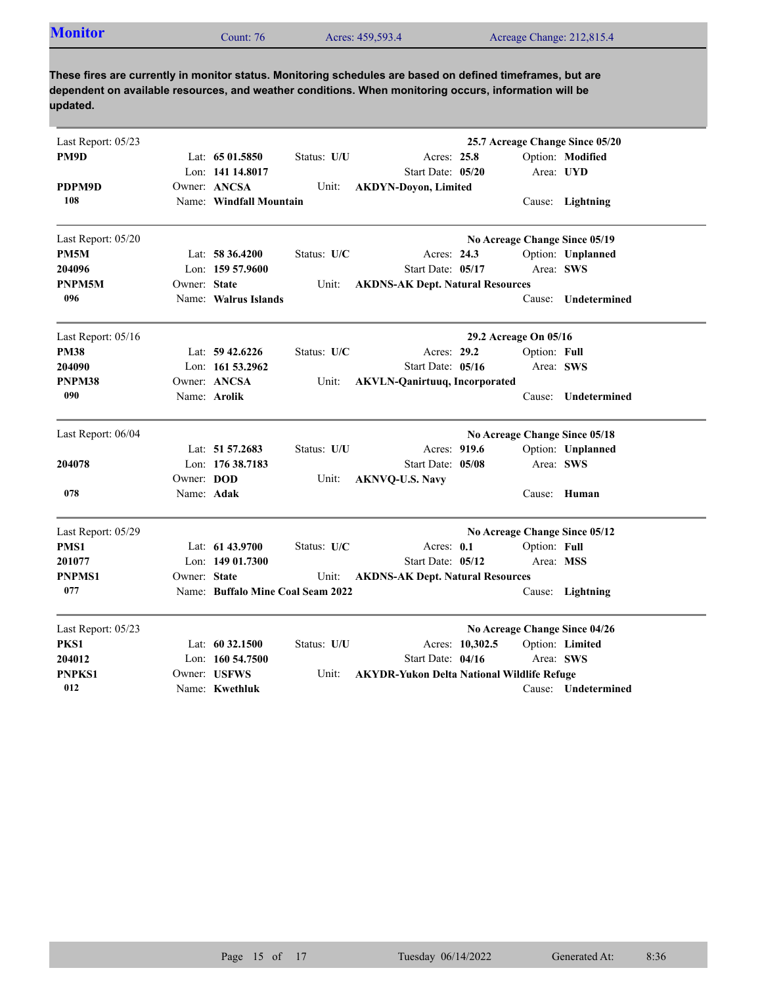| Acres: 459,593.4<br>Count: 76 | <b>Monitor</b> |  |  | Acreage Change: 212,815.4 |  |
|-------------------------------|----------------|--|--|---------------------------|--|
|-------------------------------|----------------|--|--|---------------------------|--|

| Last Report: 05/23 |              |                                   |             |                                                   |                 |                       | 25.7 Acreage Change Since 05/20 |  |
|--------------------|--------------|-----------------------------------|-------------|---------------------------------------------------|-----------------|-----------------------|---------------------------------|--|
| PM9D               |              | Lat: $6501.5850$                  | Status: U/U | Acres: 25.8                                       |                 |                       | Option: Modified                |  |
|                    |              | Lon: 141 14.8017                  |             | Start Date: 05/20                                 |                 |                       | Area: UYD                       |  |
| PDPM9D             |              | Owner: ANCSA                      | Unit:       | <b>AKDYN-Doyon, Limited</b>                       |                 |                       |                                 |  |
| 108                |              | Name: Windfall Mountain           |             |                                                   |                 |                       | Cause: Lightning                |  |
| Last Report: 05/20 |              |                                   |             |                                                   |                 |                       | No Acreage Change Since 05/19   |  |
| PM5M               |              | Lat: 58 36.4200                   | Status: U/C | Acres: 24.3                                       |                 |                       | Option: Unplanned               |  |
| 204096             |              | Lon: $15957.9600$                 |             | Start Date: 05/17                                 |                 | Area: SWS             |                                 |  |
| PNPM5M             | Owner: State |                                   | Unit:       | <b>AKDNS-AK Dept. Natural Resources</b>           |                 |                       |                                 |  |
| 096                |              | Name: Walrus Islands              |             |                                                   |                 | Cause:                | Undetermined                    |  |
| Last Report: 05/16 |              |                                   |             |                                                   |                 | 29.2 Acreage On 05/16 |                                 |  |
| <b>PM38</b>        |              | Lat: $59\,42.6226$                | Status: U/C | Acres: 29.2                                       |                 | Option: Full          |                                 |  |
| 204090             |              | Lon: $16153.2962$                 |             | Start Date: 05/16                                 |                 |                       | Area: SWS                       |  |
| PNPM38             |              | Owner: ANCSA                      | Unit:       | <b>AKVLN-Qanirtuuq, Incorporated</b>              |                 |                       |                                 |  |
| 090                |              | Name: Arolik                      |             |                                                   |                 | Cause:                | Undetermined                    |  |
| Last Report: 06/04 |              |                                   |             | No Acreage Change Since 05/18                     |                 |                       |                                 |  |
|                    |              | Lat: 51 57.2683                   | Status: U/U | Acres: 919.6                                      |                 |                       | Option: Unplanned               |  |
| 204078             |              | Lon: 176 38.7183                  |             | Start Date: 05/08                                 |                 | Area: SWS             |                                 |  |
|                    | Owner: DOD   |                                   | Unit:       | <b>AKNVQ-U.S. Navy</b>                            |                 |                       |                                 |  |
| 078                | Name: Adak   |                                   |             |                                                   |                 | Cause:                | Human                           |  |
| Last Report: 05/29 |              |                                   |             |                                                   |                 |                       | No Acreage Change Since 05/12   |  |
| PMS1               |              | Lat: 61 43.9700                   | Status: U/C | Acres: $0.1$                                      |                 | Option: Full          |                                 |  |
| 201077             |              | Lon: $14901.7300$                 |             | Start Date: 05/12                                 |                 | Area: MSS             |                                 |  |
| <b>PNPMS1</b>      | Owner: State |                                   | Unit:       | <b>AKDNS-AK Dept. Natural Resources</b>           |                 |                       |                                 |  |
| 077                |              | Name: Buffalo Mine Coal Seam 2022 |             |                                                   |                 |                       | Cause: Lightning                |  |
| Last Report: 05/23 |              |                                   |             |                                                   |                 |                       | No Acreage Change Since 04/26   |  |
| PKS1               |              | Lat: $60\,32.1500$                | Status: U/U |                                                   | Acres: 10,302.5 |                       | Option: Limited                 |  |
| 204012             |              | Lon: 160 54.7500                  |             | Start Date: 04/16                                 |                 |                       | Area: SWS                       |  |
| <b>PNPKS1</b>      |              | Owner: USFWS                      | Unit:       | <b>AKYDR-Yukon Delta National Wildlife Refuge</b> |                 |                       |                                 |  |
| 012                |              | Name: Kwethluk                    |             |                                                   |                 |                       | Cause: Undetermined             |  |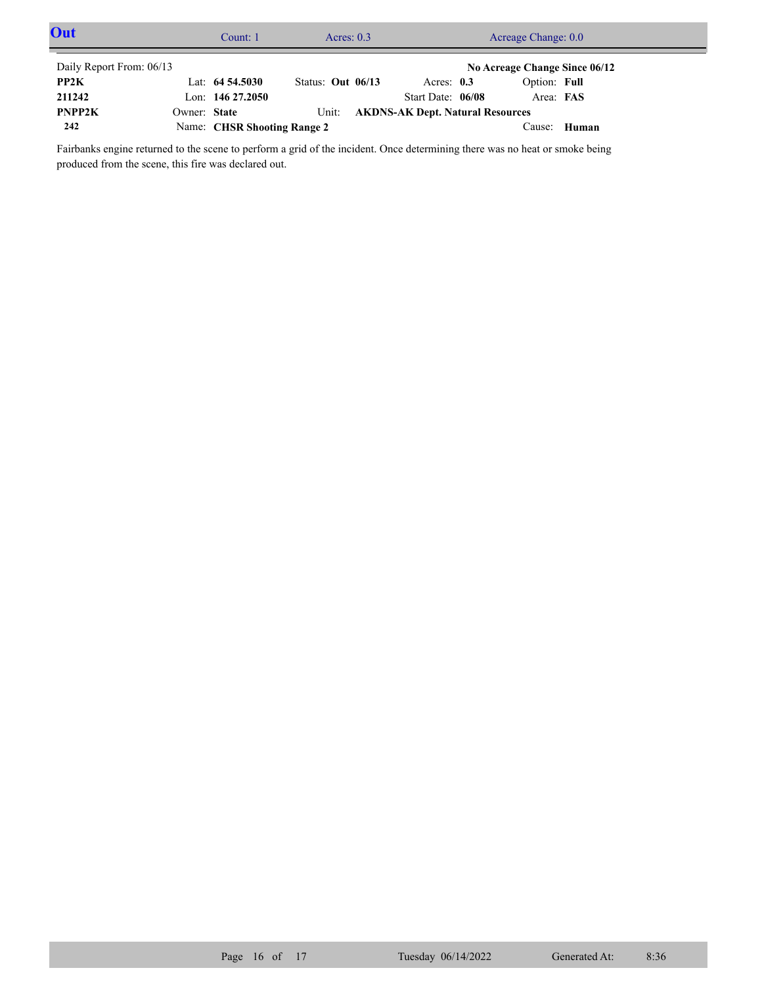| Out                      |              | Count: 1                    | Acres: $0.3$      |                                         | Acreage Change: 0.0           |       |  |
|--------------------------|--------------|-----------------------------|-------------------|-----------------------------------------|-------------------------------|-------|--|
| Daily Report From: 06/13 |              |                             |                   |                                         | No Acreage Change Since 06/12 |       |  |
| PP2K                     |              | Lat: $64\,54.5030$          | Status: Out 06/13 | Acres: $0.3$                            | Option: Full                  |       |  |
| 211242                   |              | Lon: $14627.2050$           |                   | Start Date: 06/08                       | Area: FAS                     |       |  |
| PNPP2K                   | Owner: State |                             | Unit:             | <b>AKDNS-AK Dept. Natural Resources</b> |                               |       |  |
| 242                      |              | Name: CHSR Shooting Range 2 |                   |                                         | Cause:                        | Human |  |

Fairbanks engine returned to the scene to perform a grid of the incident. Once determining there was no heat or smoke being produced from the scene, this fire was declared out.